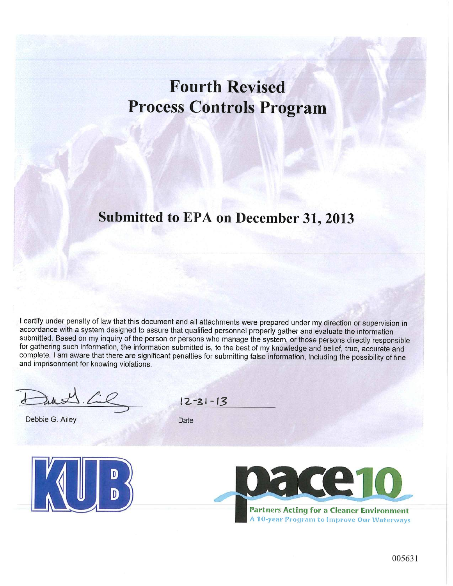## **Fourth Revised Process Controls Program**

## Submitted to EPA on December 31, 2013

I certify under penalty of law that this document and all attachments were prepared under my direction or supervision in accordance with a system designed to assure that qualified personnel properly gather and evaluate the information submitted. Based on my inquiry of the person or persons who manage the system, or those persons directly responsible for gathering such information, the information submitted is, to the best of my knowledge and belief, true, accurate and complete. I am aware that there are significant penalties for submitting false information, including the possibility of fine and imprisonment for knowing violations.

Debbie G. Ailey

 $12 - 31 - 13$ 

Date





**Partners Acting for a Cleaner Environment** A 10-year Program to Improve Our Waterways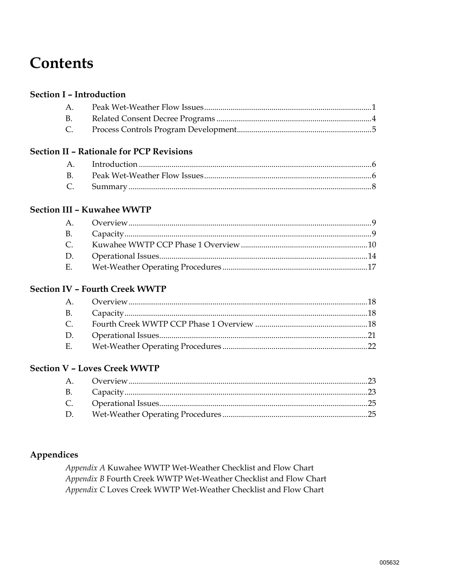## **Contents**

#### **Section I - Introduction**

| $A_{1}$   |  |
|-----------|--|
| <b>B.</b> |  |
| C.        |  |

#### **Section II - Rationale for PCP Revisions**

#### **Section III - Kuwahee WWTP**

| $\mathcal{C}$ |  |
|---------------|--|
| D.            |  |
| Е.            |  |

#### **Section IV - Fourth Creek WWTP**

| <b>B.</b>     |  |
|---------------|--|
| $\mathcal{C}$ |  |
| D.            |  |
| Е.            |  |

#### **Section V - Loves Creek WWTP**

| D. |  |
|----|--|

#### Appendices

Appendix A Kuwahee WWTP Wet-Weather Checklist and Flow Chart Appendix B Fourth Creek WWTP Wet-Weather Checklist and Flow Chart Appendix C Loves Creek WWTP Wet-Weather Checklist and Flow Chart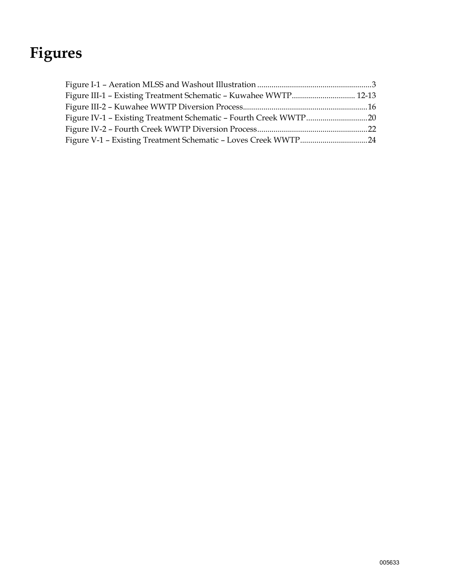## **Figures**

| Figure III-1 - Existing Treatment Schematic - Kuwahee WWTP 12-13 |  |
|------------------------------------------------------------------|--|
|                                                                  |  |
| Figure IV-1 - Existing Treatment Schematic - Fourth Creek WWTP20 |  |
|                                                                  |  |
|                                                                  |  |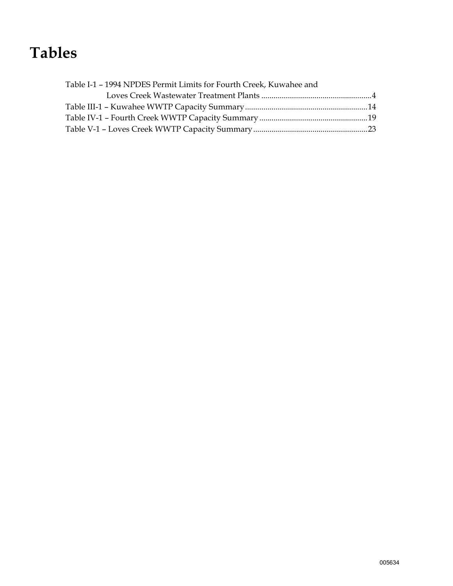## **Tables**

| Table I-1 - 1994 NPDES Permit Limits for Fourth Creek, Kuwahee and |  |
|--------------------------------------------------------------------|--|
|                                                                    |  |
|                                                                    |  |
|                                                                    |  |
|                                                                    |  |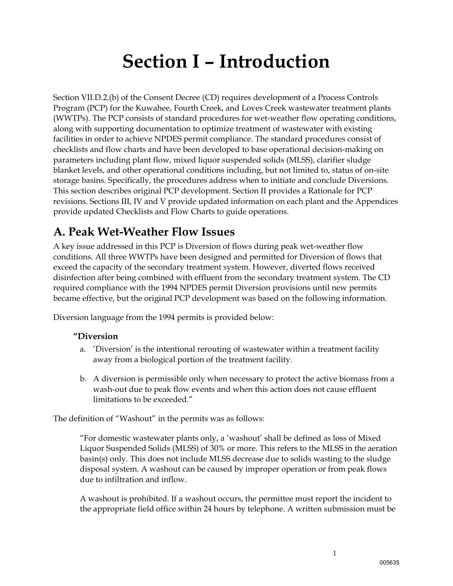# **Section I – Introduction**

Section VII.D.2.(b) of the Consent Decree (CD) requires development of a Process Controls Program (PCP) for the Kuwahee, Fourth Creek, and Loves Creek wastewater treatment plants (WWTPs). The PCP consists of standard procedures for wet-weather flow operating conditions, along with supporting documentation to optimize treatment of wastewater with existing facilities in order to achieve NPDES permit compliance. The standard procedures consist of checklists and flow charts and have been developed to base operational decision-making on parameters including plant flow, mixed liquor suspended solids (MLSS), clarifier sludge blanket levels, and other operational conditions including, but not limited to, status of on-site storage basins. Specifically, the procedures address when to initiate and conclude Diversions. This section describes original PCP development. Section II provides a Rationale for PCP revisions. Sections III, IV and V provide updated information on each plant and the Appendices provide updated Checklists and Flow Charts to guide operations.

### **A. Peak Wet-Weather Flow Issues**

A key issue addressed in this PCP is Diversion of flows during peak wet-weather flow conditions. All three WWTPs have been designed and permitted for Diversion of flows that exceed the capacity of the secondary treatment system. However, diverted flows received disinfection after being combined with effluent from the secondary treatment system. The CD required compliance with the 1994 NPDES permit Diversion provisions until new permits became effective, but the original PCP development was based on the following information.

Diversion language from the 1994 permits is provided below:

#### **"Diversion**

- a. 'Diversion' is the intentional rerouting of wastewater within a treatment facility away from a biological portion of the treatment facility.
- b. A diversion is permissible only when necessary to protect the active biomass from a wash-out due to peak flow events and when this action does not cause effluent limitations to be exceeded."

The definition of "Washout" in the permits was as follows:

"For domestic wastewater plants only, a 'washout' shall be defined as loss of Mixed Liquor Suspended Solids (MLSS) of 30% or more. This refers to the MLSS in the aeration basin(s) only. This does not include MLSS decrease due to solids wasting to the sludge disposal system. A washout can be caused by improper operation or from peak flows due to infiltration and inflow.

A washout is prohibited. If a washout occurs, the permittee must report the incident to the appropriate field office within 24 hours by telephone. A written submission must be

1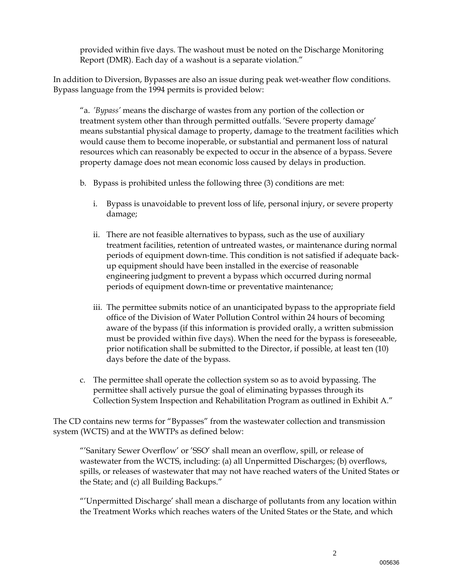provided within five days. The washout must be noted on the Discharge Monitoring Report (DMR). Each day of a washout is a separate violation."

In addition to Diversion, Bypasses are also an issue during peak wet-weather flow conditions. Bypass language from the 1994 permits is provided below:

"a. *'Bypass'* means the discharge of wastes from any portion of the collection or treatment system other than through permitted outfalls. 'Severe property damage' means substantial physical damage to property, damage to the treatment facilities which would cause them to become inoperable, or substantial and permanent loss of natural resources which can reasonably be expected to occur in the absence of a bypass. Severe property damage does not mean economic loss caused by delays in production.

- b. Bypass is prohibited unless the following three (3) conditions are met:
	- i. Bypass is unavoidable to prevent loss of life, personal injury, or severe property damage;
	- ii. There are not feasible alternatives to bypass, such as the use of auxiliary treatment facilities, retention of untreated wastes, or maintenance during normal periods of equipment down-time. This condition is not satisfied if adequate backup equipment should have been installed in the exercise of reasonable engineering judgment to prevent a bypass which occurred during normal periods of equipment down-time or preventative maintenance;
	- iii. The permittee submits notice of an unanticipated bypass to the appropriate field office of the Division of Water Pollution Control within 24 hours of becoming aware of the bypass (if this information is provided orally, a written submission must be provided within five days). When the need for the bypass is foreseeable, prior notification shall be submitted to the Director, if possible, at least ten (10) days before the date of the bypass.
- c. The permittee shall operate the collection system so as to avoid bypassing. The permittee shall actively pursue the goal of eliminating bypasses through its Collection System Inspection and Rehabilitation Program as outlined in Exhibit A."

The CD contains new terms for "Bypasses" from the wastewater collection and transmission system (WCTS) and at the WWTPs as defined below:

 "'Sanitary Sewer Overflow' or 'SSO' shall mean an overflow, spill, or release of wastewater from the WCTS, including: (a) all Unpermitted Discharges; (b) overflows, spills, or releases of wastewater that may not have reached waters of the United States or the State; and (c) all Building Backups."

 "'Unpermitted Discharge' shall mean a discharge of pollutants from any location within the Treatment Works which reaches waters of the United States or the State, and which

2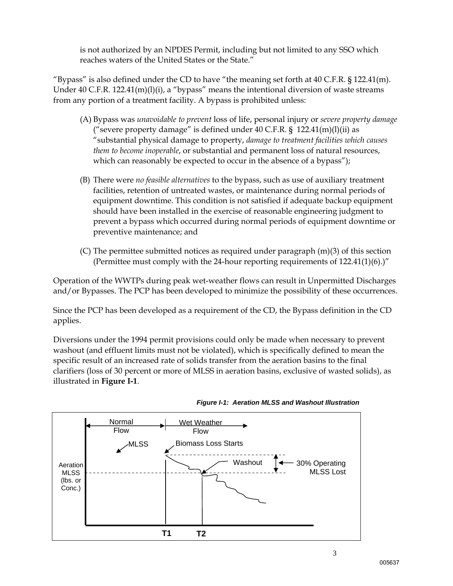is not authorized by an NPDES Permit, including but not limited to any SSO which reaches waters of the United States or the State."

"Bypass" is also defined under the CD to have "the meaning set forth at  $40$  C.F.R.  $\S$  122.41(m). Under 40 C.F.R. 122.41(m)(l)(i), a "bypass" means the intentional diversion of waste streams from any portion of a treatment facility. A bypass is prohibited unless:

- (A) Bypass was *unavoidable to prevent* loss of life, personal injury or *severe property damage* ("severe property damage" is defined under  $40$  C.F.R. §  $122.41(m)(l)(ii)$  as "substantial physical damage to property, *damage to treatment facilities which causes them to become inoperable*, or substantial and permanent loss of natural resources, which can reasonably be expected to occur in the absence of a bypass");
- (B) There were *no feasible alternatives* to the bypass, such as use of auxiliary treatment facilities, retention of untreated wastes, or maintenance during normal periods of equipment downtime. This condition is not satisfied if adequate backup equipment should have been installed in the exercise of reasonable engineering judgment to prevent a bypass which occurred during normal periods of equipment downtime or preventive maintenance; and
- (C) The permittee submitted notices as required under paragraph  $(m)(3)$  of this section (Permittee must comply with the 24-hour reporting requirements of  $122.41(1)(6)$ .)"

Operation of the WWTPs during peak wet-weather flows can result in Unpermitted Discharges and/or Bypasses. The PCP has been developed to minimize the possibility of these occurrences.

Since the PCP has been developed as a requirement of the CD, the Bypass definition in the CD applies.

Diversions under the 1994 permit provisions could only be made when necessary to prevent washout (and effluent limits must not be violated), which is specifically defined to mean the specific result of an increased rate of solids transfer from the aeration basins to the final clarifiers (loss of 30 percent or more of MLSS in aeration basins, exclusive of wasted solids), as illustrated in **Figure I-1**.



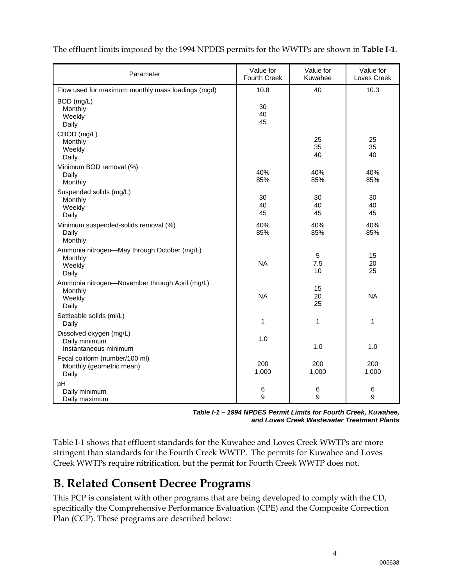| Parameter                                                                    | Value for<br>Fourth Creek | Value for<br>Kuwahee    | Value for<br>Loves Creek |
|------------------------------------------------------------------------------|---------------------------|-------------------------|--------------------------|
| Flow used for maximum monthly mass loadings (mgd)                            | 10.8                      | 40                      | 10.3                     |
| BOD (mg/L)<br>Monthly<br>Weekly<br>Daily                                     | 30<br>40<br>45            |                         |                          |
| CBOD (mg/L)<br>Monthly<br>Weekly<br>Daily                                    |                           | 25<br>35<br>40          | 25<br>35<br>40           |
| Minimum BOD removal (%)<br>Daily<br>Monthly                                  | 40%<br>85%                | 40%<br>85%              | 40%<br>85%               |
| Suspended solids (mg/L)<br>Monthly<br>Weekly<br>Daily                        | 30<br>40<br>45            | 30<br>40<br>45          | 30<br>40<br>45           |
| Minimum suspended-solids removal (%)<br>Daily<br>Monthly                     | 40%<br>85%                | 40%<br>85%              | 40%<br>85%               |
| Ammonia nitrogen-May through October (mg/L)<br>Monthly<br>Weekly<br>Daily    | <b>NA</b>                 | $\sqrt{5}$<br>7.5<br>10 | 15<br>20<br>25           |
| Ammonia nitrogen-November through April (mg/L)<br>Monthly<br>Weekly<br>Daily | <b>NA</b>                 | 15<br>20<br>25          | <b>NA</b>                |
| Settleable solids (ml/L)<br>Daily                                            | 1                         | 1                       | $\mathbf{1}$             |
| Dissolved oxygen (mg/L)<br>Daily minimum<br>Instantaneous minimum            | 1.0                       | 1.0                     | 1.0                      |
| Fecal coliform (number/100 ml)<br>Monthly (geometric mean)<br>Daily          | 200<br>1,000              | 200<br>1,000            | 200<br>1,000             |
| pH<br>Daily minimum<br>Daily maximum                                         | 6<br>9                    | 6<br>9                  | 6<br>9                   |

The effluent limits imposed by the 1994 NPDES permits for the WWTPs are shown in **Table I-1**.

*Table I-1 – 1994 NPDES Permit Limits for Fourth Creek, Kuwahee, and Loves Creek Wastewater Treatment Plants* 

Table I-1 shows that effluent standards for the Kuwahee and Loves Creek WWTPs are more stringent than standards for the Fourth Creek WWTP. The permits for Kuwahee and Loves Creek WWTPs require nitrification, but the permit for Fourth Creek WWTP does not.

### **B. Related Consent Decree Programs**

This PCP is consistent with other programs that are being developed to comply with the CD, specifically the Comprehensive Performance Evaluation (CPE) and the Composite Correction Plan (CCP). These programs are described below: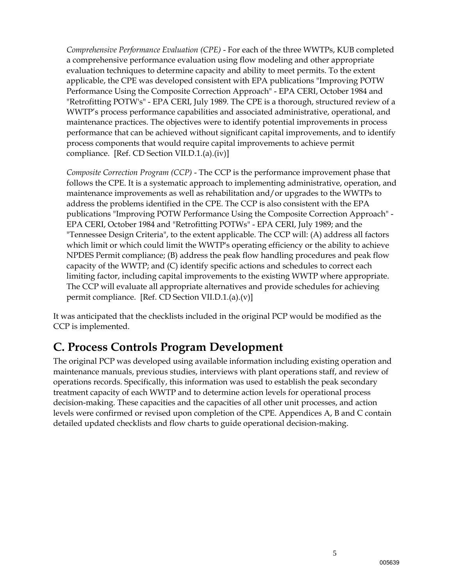*Comprehensive Performance Evaluation (CPE)* - For each of the three WWTPs, KUB completed a comprehensive performance evaluation using flow modeling and other appropriate evaluation techniques to determine capacity and ability to meet permits. To the extent applicable, the CPE was developed consistent with EPA publications "Improving POTW Performance Using the Composite Correction Approach" - EPA CERI, October 1984 and "Retrofitting POTW's" - EPA CERI, July 1989. The CPE is a thorough, structured review of a WWTP's process performance capabilities and associated administrative, operational, and maintenance practices. The objectives were to identify potential improvements in process performance that can be achieved without significant capital improvements, and to identify process components that would require capital improvements to achieve permit compliance. [Ref. CD Section VII.D.1.(a).(iv)]

*Composite Correction Program (CCP)* - The CCP is the performance improvement phase that follows the CPE. It is a systematic approach to implementing administrative, operation, and maintenance improvements as well as rehabilitation and/or upgrades to the WWTPs to address the problems identified in the CPE. The CCP is also consistent with the EPA publications "Improving POTW Performance Using the Composite Correction Approach" - EPA CERI, October 1984 and "Retrofitting POTWs" - EPA CERI, July 1989; and the "Tennessee Design Criteria", to the extent applicable. The CCP will: (A) address all factors which limit or which could limit the WWTP's operating efficiency or the ability to achieve NPDES Permit compliance; (B) address the peak flow handling procedures and peak flow capacity of the WWTP; and (C) identify specific actions and schedules to correct each limiting factor, including capital improvements to the existing WWTP where appropriate. The CCP will evaluate all appropriate alternatives and provide schedules for achieving permit compliance. [Ref. CD Section VII.D.1.(a).(v)]

It was anticipated that the checklists included in the original PCP would be modified as the CCP is implemented.

### **C. Process Controls Program Development**

The original PCP was developed using available information including existing operation and maintenance manuals, previous studies, interviews with plant operations staff, and review of operations records. Specifically, this information was used to establish the peak secondary treatment capacity of each WWTP and to determine action levels for operational process decision-making. These capacities and the capacities of all other unit processes, and action levels were confirmed or revised upon completion of the CPE. Appendices A, B and C contain detailed updated checklists and flow charts to guide operational decision-making.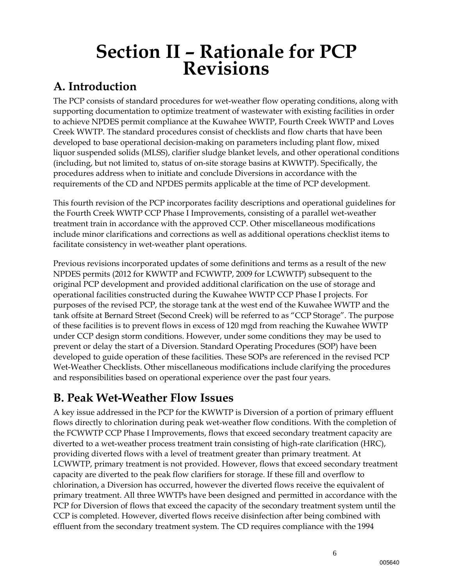# **Section II – Rationale for PCP Revisions**

### **A. Introduction**

The PCP consists of standard procedures for wet-weather flow operating conditions, along with supporting documentation to optimize treatment of wastewater with existing facilities in order to achieve NPDES permit compliance at the Kuwahee WWTP, Fourth Creek WWTP and Loves Creek WWTP. The standard procedures consist of checklists and flow charts that have been developed to base operational decision-making on parameters including plant flow, mixed liquor suspended solids (MLSS), clarifier sludge blanket levels, and other operational conditions (including, but not limited to, status of on-site storage basins at KWWTP). Specifically, the procedures address when to initiate and conclude Diversions in accordance with the requirements of the CD and NPDES permits applicable at the time of PCP development.

This fourth revision of the PCP incorporates facility descriptions and operational guidelines for the Fourth Creek WWTP CCP Phase I Improvements, consisting of a parallel wet-weather treatment train in accordance with the approved CCP. Other miscellaneous modifications include minor clarifications and corrections as well as additional operations checklist items to facilitate consistency in wet-weather plant operations.

Previous revisions incorporated updates of some definitions and terms as a result of the new NPDES permits (2012 for KWWTP and FCWWTP, 2009 for LCWWTP) subsequent to the original PCP development and provided additional clarification on the use of storage and operational facilities constructed during the Kuwahee WWTP CCP Phase I projects. For purposes of the revised PCP, the storage tank at the west end of the Kuwahee WWTP and the tank offsite at Bernard Street (Second Creek) will be referred to as "CCP Storage". The purpose of these facilities is to prevent flows in excess of 120 mgd from reaching the Kuwahee WWTP under CCP design storm conditions. However, under some conditions they may be used to prevent or delay the start of a Diversion. Standard Operating Procedures (SOP) have been developed to guide operation of these facilities. These SOPs are referenced in the revised PCP Wet-Weather Checklists. Other miscellaneous modifications include clarifying the procedures and responsibilities based on operational experience over the past four years.

### **B. Peak Wet-Weather Flow Issues**

A key issue addressed in the PCP for the KWWTP is Diversion of a portion of primary effluent flows directly to chlorination during peak wet-weather flow conditions. With the completion of the FCWWTP CCP Phase I Improvements, flows that exceed secondary treatment capacity are diverted to a wet-weather process treatment train consisting of high-rate clarification (HRC), providing diverted flows with a level of treatment greater than primary treatment. At LCWWTP, primary treatment is not provided. However, flows that exceed secondary treatment capacity are diverted to the peak flow clarifiers for storage. If these fill and overflow to chlorination, a Diversion has occurred, however the diverted flows receive the equivalent of primary treatment. All three WWTPs have been designed and permitted in accordance with the PCP for Diversion of flows that exceed the capacity of the secondary treatment system until the CCP is completed. However, diverted flows receive disinfection after being combined with effluent from the secondary treatment system. The CD requires compliance with the 1994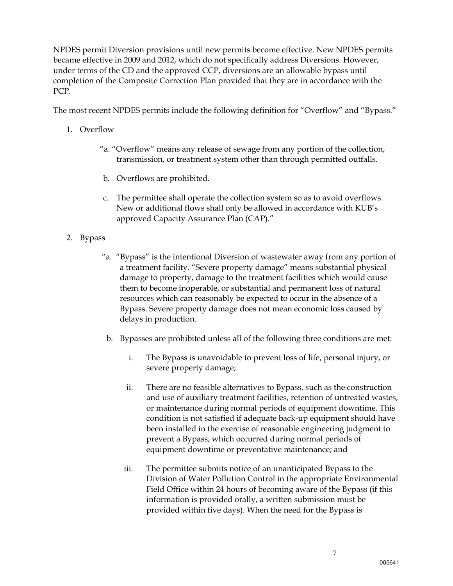NPDES permit Diversion provisions until new permits become effective. New NPDES permits became effective in 2009 and 2012, which do not specifically address Diversions. However, under terms of the CD and the approved CCP, diversions are an allowable bypass until completion of the Composite Correction Plan provided that they are in accordance with the PCP.

The most recent NPDES permits include the following definition for "Overflow" and "Bypass."

- 1. Overflow
	- "a. "Overflow" means any release of sewage from any portion of the collection, transmission, or treatment system other than through permitted outfalls.
	- b. Overflows are prohibited.
	- c. The permittee shall operate the collection system so as to avoid overflows. New or additional flows shall only be allowed in accordance with KUB's approved Capacity Assurance Plan (CAP)."
- 2. Bypass
	- "a. "Bypass" is the intentional Diversion of wastewater away from any portion of a treatment facility. "Severe property damage" means substantial physical damage to property, damage to the treatment facilities which would cause them to become inoperable, or substantial and permanent loss of natural resources which can reasonably be expected to occur in the absence of a Bypass. Severe property damage does not mean economic loss caused by delays in production.
	- b. Bypasses are prohibited unless all of the following three conditions are met:
		- i. The Bypass is unavoidable to prevent loss of life, personal injury, or severe property damage;
		- ii. There are no feasible alternatives to Bypass, such as the construction and use of auxiliary treatment facilities, retention of untreated wastes, or maintenance during normal periods of equipment downtime. This condition is not satisfied if adequate back-up equipment should have been installed in the exercise of reasonable engineering judgment to prevent a Bypass, which occurred during normal periods of equipment downtime or preventative maintenance; and
		- iii. The permittee submits notice of an unanticipated Bypass to the Division of Water Pollution Control in the appropriate Environmental Field Office within 24 hours of becoming aware of the Bypass (if this information is provided orally, a written submission must be provided within five days). When the need for the Bypass is

7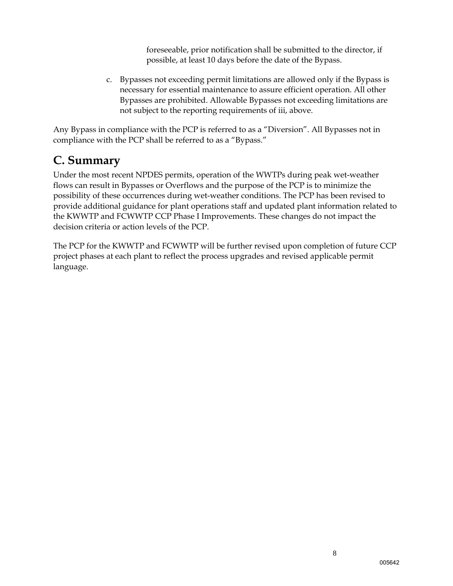foreseeable, prior notification shall be submitted to the director, if possible, at least 10 days before the date of the Bypass.

c. Bypasses not exceeding permit limitations are allowed only if the Bypass is necessary for essential maintenance to assure efficient operation. All other Bypasses are prohibited. Allowable Bypasses not exceeding limitations are not subject to the reporting requirements of iii, above.

Any Bypass in compliance with the PCP is referred to as a "Diversion". All Bypasses not in compliance with the PCP shall be referred to as a "Bypass."

### **C. Summary**

Under the most recent NPDES permits, operation of the WWTPs during peak wet-weather flows can result in Bypasses or Overflows and the purpose of the PCP is to minimize the possibility of these occurrences during wet-weather conditions. The PCP has been revised to provide additional guidance for plant operations staff and updated plant information related to the KWWTP and FCWWTP CCP Phase I Improvements. These changes do not impact the decision criteria or action levels of the PCP.

The PCP for the KWWTP and FCWWTP will be further revised upon completion of future CCP project phases at each plant to reflect the process upgrades and revised applicable permit language.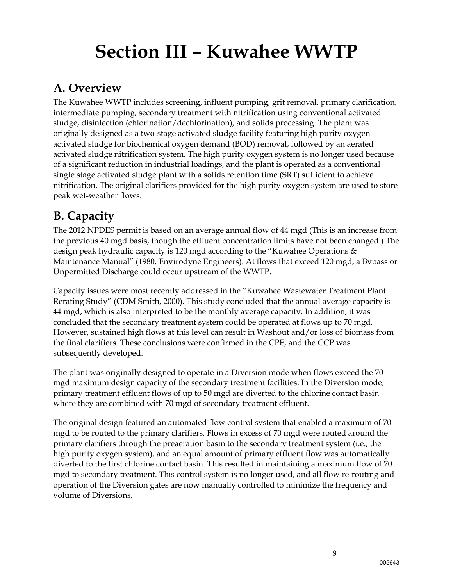# **Section III – Kuwahee WWTP**

### **A. Overview**

The Kuwahee WWTP includes screening, influent pumping, grit removal, primary clarification, intermediate pumping, secondary treatment with nitrification using conventional activated sludge, disinfection (chlorination/dechlorination), and solids processing. The plant was originally designed as a two-stage activated sludge facility featuring high purity oxygen activated sludge for biochemical oxygen demand (BOD) removal, followed by an aerated activated sludge nitrification system. The high purity oxygen system is no longer used because of a significant reduction in industrial loadings, and the plant is operated as a conventional single stage activated sludge plant with a solids retention time (SRT) sufficient to achieve nitrification. The original clarifiers provided for the high purity oxygen system are used to store peak wet-weather flows.

## **B. Capacity**

The 2012 NPDES permit is based on an average annual flow of 44 mgd (This is an increase from the previous 40 mgd basis, though the effluent concentration limits have not been changed.) The design peak hydraulic capacity is 120 mgd according to the "Kuwahee Operations & Maintenance Manual" (1980, Envirodyne Engineers). At flows that exceed 120 mgd, a Bypass or Unpermitted Discharge could occur upstream of the WWTP.

Capacity issues were most recently addressed in the "Kuwahee Wastewater Treatment Plant Rerating Study" (CDM Smith, 2000). This study concluded that the annual average capacity is 44 mgd, which is also interpreted to be the monthly average capacity. In addition, it was concluded that the secondary treatment system could be operated at flows up to 70 mgd. However, sustained high flows at this level can result in Washout and/or loss of biomass from the final clarifiers. These conclusions were confirmed in the CPE, and the CCP was subsequently developed.

The plant was originally designed to operate in a Diversion mode when flows exceed the 70 mgd maximum design capacity of the secondary treatment facilities. In the Diversion mode, primary treatment effluent flows of up to 50 mgd are diverted to the chlorine contact basin where they are combined with 70 mgd of secondary treatment effluent.

The original design featured an automated flow control system that enabled a maximum of 70 mgd to be routed to the primary clarifiers. Flows in excess of 70 mgd were routed around the primary clarifiers through the preaeration basin to the secondary treatment system (i.e., the high purity oxygen system), and an equal amount of primary effluent flow was automatically diverted to the first chlorine contact basin. This resulted in maintaining a maximum flow of 70 mgd to secondary treatment. This control system is no longer used, and all flow re-routing and operation of the Diversion gates are now manually controlled to minimize the frequency and volume of Diversions.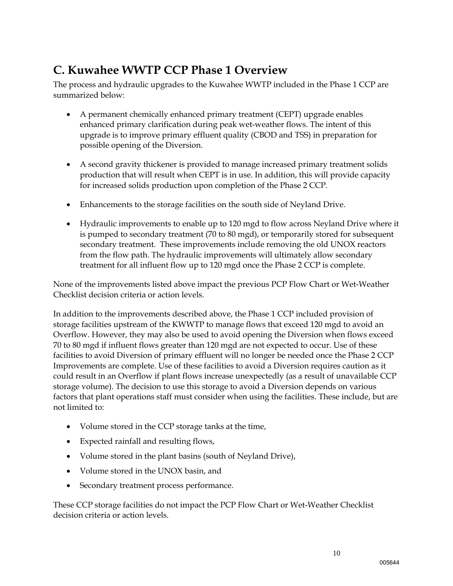## **C. Kuwahee WWTP CCP Phase 1 Overview**

The process and hydraulic upgrades to the Kuwahee WWTP included in the Phase 1 CCP are summarized below:

- A permanent chemically enhanced primary treatment (CEPT) upgrade enables enhanced primary clarification during peak wet-weather flows. The intent of this upgrade is to improve primary effluent quality (CBOD and TSS) in preparation for possible opening of the Diversion.
- A second gravity thickener is provided to manage increased primary treatment solids production that will result when CEPT is in use. In addition, this will provide capacity for increased solids production upon completion of the Phase 2 CCP.
- Enhancements to the storage facilities on the south side of Neyland Drive.
- Hydraulic improvements to enable up to 120 mgd to flow across Neyland Drive where it is pumped to secondary treatment (70 to 80 mgd), or temporarily stored for subsequent secondary treatment. These improvements include removing the old UNOX reactors from the flow path. The hydraulic improvements will ultimately allow secondary treatment for all influent flow up to 120 mgd once the Phase 2 CCP is complete.

None of the improvements listed above impact the previous PCP Flow Chart or Wet-Weather Checklist decision criteria or action levels.

In addition to the improvements described above, the Phase 1 CCP included provision of storage facilities upstream of the KWWTP to manage flows that exceed 120 mgd to avoid an Overflow. However, they may also be used to avoid opening the Diversion when flows exceed 70 to 80 mgd if influent flows greater than 120 mgd are not expected to occur. Use of these facilities to avoid Diversion of primary effluent will no longer be needed once the Phase 2 CCP Improvements are complete. Use of these facilities to avoid a Diversion requires caution as it could result in an Overflow if plant flows increase unexpectedly (as a result of unavailable CCP storage volume). The decision to use this storage to avoid a Diversion depends on various factors that plant operations staff must consider when using the facilities. These include, but are not limited to:

- Volume stored in the CCP storage tanks at the time,
- Expected rainfall and resulting flows,
- Volume stored in the plant basins (south of Neyland Drive),
- Volume stored in the UNOX basin, and
- Secondary treatment process performance.

These CCP storage facilities do not impact the PCP Flow Chart or Wet-Weather Checklist decision criteria or action levels.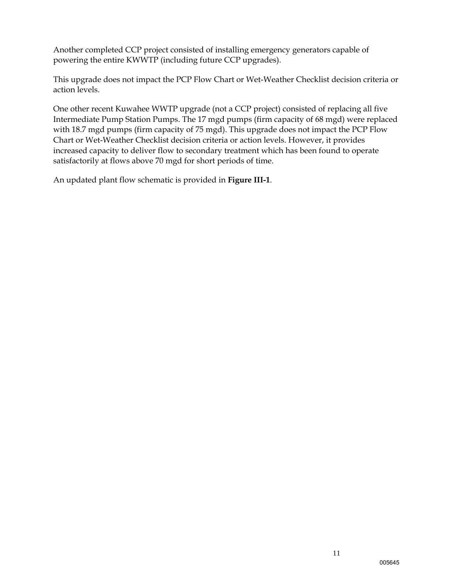Another completed CCP project consisted of installing emergency generators capable of powering the entire KWWTP (including future CCP upgrades).

This upgrade does not impact the PCP Flow Chart or Wet-Weather Checklist decision criteria or action levels.

One other recent Kuwahee WWTP upgrade (not a CCP project) consisted of replacing all five Intermediate Pump Station Pumps. The 17 mgd pumps (firm capacity of 68 mgd) were replaced with 18.7 mgd pumps (firm capacity of 75 mgd). This upgrade does not impact the PCP Flow Chart or Wet-Weather Checklist decision criteria or action levels. However, it provides increased capacity to deliver flow to secondary treatment which has been found to operate satisfactorily at flows above 70 mgd for short periods of time.

An updated plant flow schematic is provided in **Figure III-1**.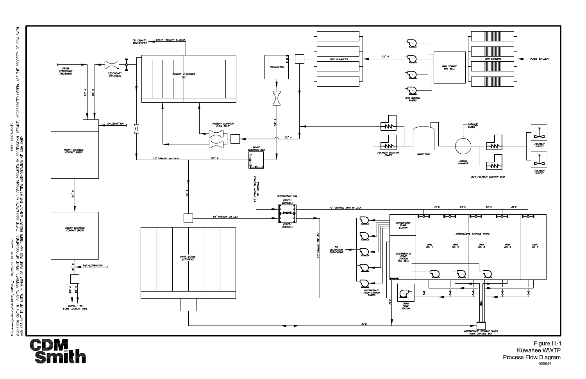

 $CDM$  $\overline{6}$ PROPERTY ARE THE HEREIN, INCORPORATED C:\cdmxm\smithdr\d0441002\ KWFIGIIL\_1 09/20/13 09:22 smithdr<br>©2013CDM SMITH ALL RIGHTS RESERVED. REUSE OF DOCUMENTS: THESE DOCUMENTS AND DESIGNS PROVIDED BY PROFESSIONAL SERVICE,<br>AND ARE NOT TO BE USED, IN WHOLE OR PART, F

SMITH

Figure III-1 Kuwahee WWTP<br>Kuwahee WWTP<br>Process Flow Diagram 005646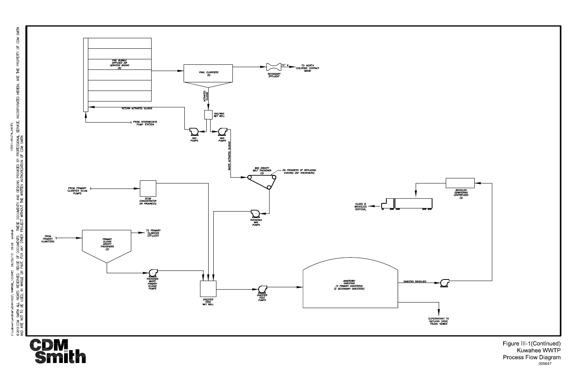

Figure III-1(Continued)<br>Kuwahee WWTP<br>Process Flow Diagram<br>005647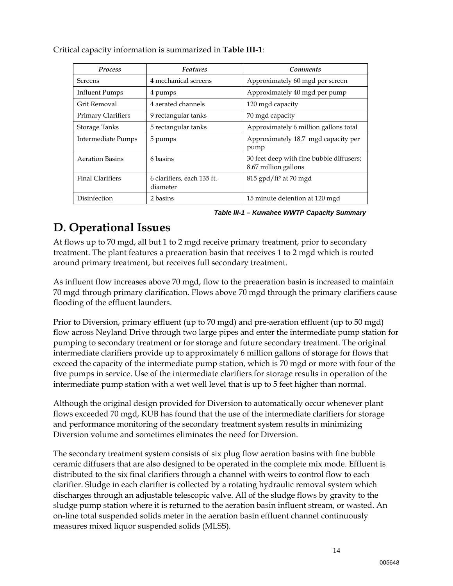| <b>Process</b>          | <b>Features</b>                        | <b>Comments</b>                                                  |
|-------------------------|----------------------------------------|------------------------------------------------------------------|
| <b>Screens</b>          | 4 mechanical screens                   | Approximately 60 mgd per screen                                  |
| Influent Pumps          | 4 pumps                                | Approximately 40 mgd per pump                                    |
| Grit Removal            | 4 aerated channels                     | 120 mgd capacity                                                 |
| Primary Clarifiers      | 9 rectangular tanks                    | 70 mgd capacity                                                  |
| <b>Storage Tanks</b>    | 5 rectangular tanks                    | Approximately 6 million gallons total                            |
| Intermediate Pumps      | 5 pumps                                | Approximately 18.7 mgd capacity per<br>pump                      |
| <b>Aeration Basins</b>  | 6 basins                               | 30 feet deep with fine bubble diffusers;<br>8.67 million gallons |
| <b>Final Clarifiers</b> | 6 clarifiers, each 135 ft.<br>diameter | 815 gpd/ft <sup>2</sup> at 70 mgd                                |
| Disinfection            | 2 basins                               | 15 minute detention at 120 mgd                                   |

Critical capacity information is summarized in **Table III-1**:

*Table III-1 – Kuwahee WWTP Capacity Summary* 

### **D. Operational Issues**

At flows up to 70 mgd, all but 1 to 2 mgd receive primary treatment, prior to secondary treatment. The plant features a preaeration basin that receives 1 to 2 mgd which is routed around primary treatment, but receives full secondary treatment.

As influent flow increases above 70 mgd, flow to the preaeration basin is increased to maintain 70 mgd through primary clarification. Flows above 70 mgd through the primary clarifiers cause flooding of the effluent launders.

Prior to Diversion, primary effluent (up to 70 mgd) and pre-aeration effluent (up to 50 mgd) flow across Neyland Drive through two large pipes and enter the intermediate pump station for pumping to secondary treatment or for storage and future secondary treatment. The original intermediate clarifiers provide up to approximately 6 million gallons of storage for flows that exceed the capacity of the intermediate pump station, which is 70 mgd or more with four of the five pumps in service. Use of the intermediate clarifiers for storage results in operation of the intermediate pump station with a wet well level that is up to 5 feet higher than normal.

Although the original design provided for Diversion to automatically occur whenever plant flows exceeded 70 mgd, KUB has found that the use of the intermediate clarifiers for storage and performance monitoring of the secondary treatment system results in minimizing Diversion volume and sometimes eliminates the need for Diversion.

The secondary treatment system consists of six plug flow aeration basins with fine bubble ceramic diffusers that are also designed to be operated in the complete mix mode. Effluent is distributed to the six final clarifiers through a channel with weirs to control flow to each clarifier. Sludge in each clarifier is collected by a rotating hydraulic removal system which discharges through an adjustable telescopic valve. All of the sludge flows by gravity to the sludge pump station where it is returned to the aeration basin influent stream, or wasted. An on-line total suspended solids meter in the aeration basin effluent channel continuously measures mixed liquor suspended solids (MLSS).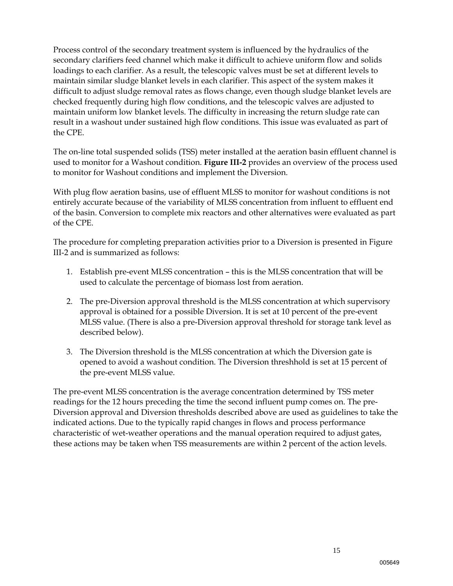Process control of the secondary treatment system is influenced by the hydraulics of the secondary clarifiers feed channel which make it difficult to achieve uniform flow and solids loadings to each clarifier. As a result, the telescopic valves must be set at different levels to maintain similar sludge blanket levels in each clarifier. This aspect of the system makes it difficult to adjust sludge removal rates as flows change, even though sludge blanket levels are checked frequently during high flow conditions, and the telescopic valves are adjusted to maintain uniform low blanket levels. The difficulty in increasing the return sludge rate can result in a washout under sustained high flow conditions. This issue was evaluated as part of the CPE.

The on-line total suspended solids (TSS) meter installed at the aeration basin effluent channel is used to monitor for a Washout condition. **Figure III-2** provides an overview of the process used to monitor for Washout conditions and implement the Diversion.

With plug flow aeration basins, use of effluent MLSS to monitor for washout conditions is not entirely accurate because of the variability of MLSS concentration from influent to effluent end of the basin. Conversion to complete mix reactors and other alternatives were evaluated as part of the CPE.

The procedure for completing preparation activities prior to a Diversion is presented in Figure III-2 and is summarized as follows:

- 1. Establish pre-event MLSS concentration this is the MLSS concentration that will be used to calculate the percentage of biomass lost from aeration.
- 2. The pre-Diversion approval threshold is the MLSS concentration at which supervisory approval is obtained for a possible Diversion. It is set at 10 percent of the pre-event MLSS value. (There is also a pre-Diversion approval threshold for storage tank level as described below).
- 3. The Diversion threshold is the MLSS concentration at which the Diversion gate is opened to avoid a washout condition. The Diversion threshhold is set at 15 percent of the pre-event MLSS value.

The pre-event MLSS concentration is the average concentration determined by TSS meter readings for the 12 hours preceding the time the second influent pump comes on. The pre-Diversion approval and Diversion thresholds described above are used as guidelines to take the indicated actions. Due to the typically rapid changes in flows and process performance characteristic of wet-weather operations and the manual operation required to adjust gates, these actions may be taken when TSS measurements are within 2 percent of the action levels.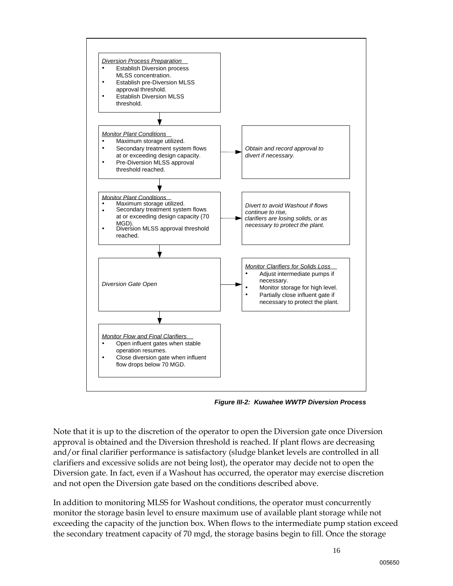

*Figure III-2: Kuwahee WWTP Diversion Process*

Note that it is up to the discretion of the operator to open the Diversion gate once Diversion approval is obtained and the Diversion threshold is reached. If plant flows are decreasing and/or final clarifier performance is satisfactory (sludge blanket levels are controlled in all clarifiers and excessive solids are not being lost), the operator may decide not to open the Diversion gate. In fact, even if a Washout has occurred, the operator may exercise discretion and not open the Diversion gate based on the conditions described above.

In addition to monitoring MLSS for Washout conditions, the operator must concurrently monitor the storage basin level to ensure maximum use of available plant storage while not exceeding the capacity of the junction box. When flows to the intermediate pump station exceed the secondary treatment capacity of 70 mgd, the storage basins begin to fill. Once the storage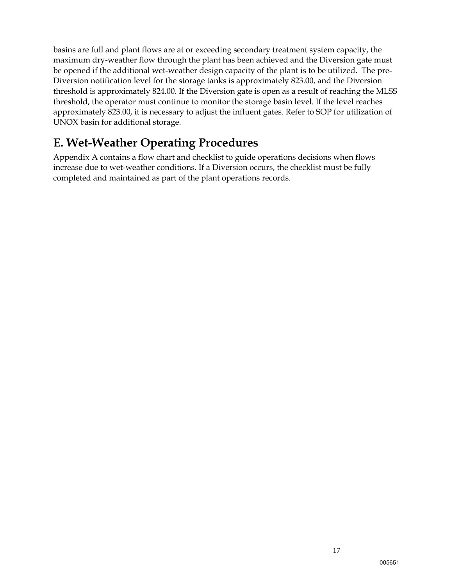basins are full and plant flows are at or exceeding secondary treatment system capacity, the maximum dry-weather flow through the plant has been achieved and the Diversion gate must be opened if the additional wet-weather design capacity of the plant is to be utilized. The pre-Diversion notification level for the storage tanks is approximately 823.00, and the Diversion threshold is approximately 824.00. If the Diversion gate is open as a result of reaching the MLSS threshold, the operator must continue to monitor the storage basin level. If the level reaches approximately 823.00, it is necessary to adjust the influent gates. Refer to SOP for utilization of UNOX basin for additional storage.

### **E. Wet-Weather Operating Procedures**

Appendix A contains a flow chart and checklist to guide operations decisions when flows increase due to wet-weather conditions. If a Diversion occurs, the checklist must be fully completed and maintained as part of the plant operations records.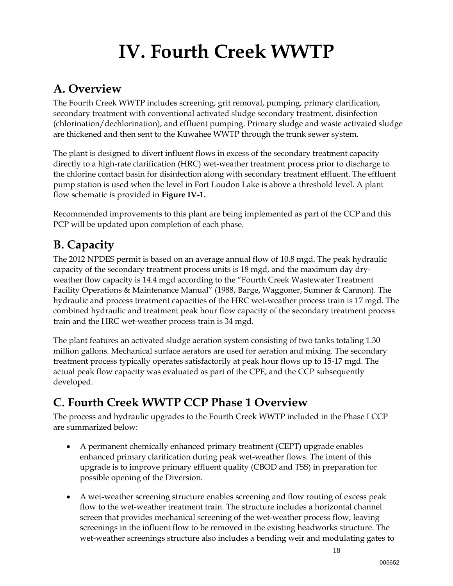# **IV. Fourth Creek WWTP**

### **A. Overview**

The Fourth Creek WWTP includes screening, grit removal, pumping, primary clarification, secondary treatment with conventional activated sludge secondary treatment, disinfection (chlorination/dechlorination), and effluent pumping. Primary sludge and waste activated sludge are thickened and then sent to the Kuwahee WWTP through the trunk sewer system.

The plant is designed to divert influent flows in excess of the secondary treatment capacity directly to a high-rate clarification (HRC) wet-weather treatment process prior to discharge to the chlorine contact basin for disinfection along with secondary treatment effluent. The effluent pump station is used when the level in Fort Loudon Lake is above a threshold level. A plant flow schematic is provided in **Figure IV-1.** 

Recommended improvements to this plant are being implemented as part of the CCP and this PCP will be updated upon completion of each phase.

## **B. Capacity**

The 2012 NPDES permit is based on an average annual flow of 10.8 mgd. The peak hydraulic capacity of the secondary treatment process units is 18 mgd, and the maximum day dryweather flow capacity is 14.4 mgd according to the "Fourth Creek Wastewater Treatment Facility Operations & Maintenance Manual" (1988, Barge, Waggoner, Sumner & Cannon). The hydraulic and process treatment capacities of the HRC wet-weather process train is 17 mgd. The combined hydraulic and treatment peak hour flow capacity of the secondary treatment process train and the HRC wet-weather process train is 34 mgd.

The plant features an activated sludge aeration system consisting of two tanks totaling 1.30 million gallons. Mechanical surface aerators are used for aeration and mixing. The secondary treatment process typically operates satisfactorily at peak hour flows up to 15-17 mgd. The actual peak flow capacity was evaluated as part of the CPE, and the CCP subsequently developed.

## **C. Fourth Creek WWTP CCP Phase 1 Overview**

The process and hydraulic upgrades to the Fourth Creek WWTP included in the Phase I CCP are summarized below:

- A permanent chemically enhanced primary treatment (CEPT) upgrade enables enhanced primary clarification during peak wet-weather flows. The intent of this upgrade is to improve primary effluent quality (CBOD and TSS) in preparation for possible opening of the Diversion.
- A wet-weather screening structure enables screening and flow routing of excess peak flow to the wet-weather treatment train. The structure includes a horizontal channel screen that provides mechanical screening of the wet-weather process flow, leaving screenings in the influent flow to be removed in the existing headworks structure. The wet-weather screenings structure also includes a bending weir and modulating gates to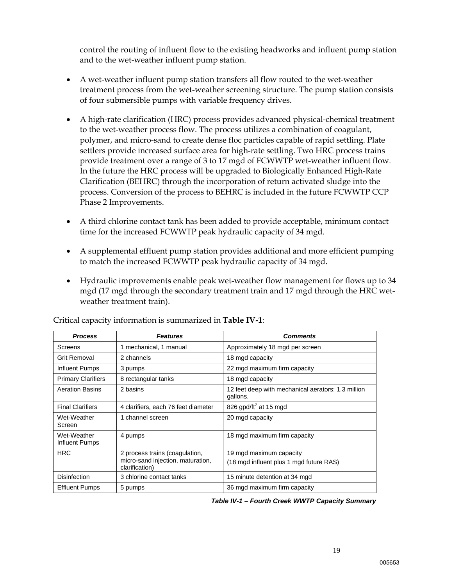control the routing of influent flow to the existing headworks and influent pump station and to the wet-weather influent pump station.

- A wet-weather influent pump station transfers all flow routed to the wet-weather treatment process from the wet-weather screening structure. The pump station consists of four submersible pumps with variable frequency drives.
- A high-rate clarification (HRC) process provides advanced physical-chemical treatment to the wet-weather process flow. The process utilizes a combination of coagulant, polymer, and micro-sand to create dense floc particles capable of rapid settling. Plate settlers provide increased surface area for high-rate settling. Two HRC process trains provide treatment over a range of 3 to 17 mgd of FCWWTP wet-weather influent flow. In the future the HRC process will be upgraded to Biologically Enhanced High-Rate Clarification (BEHRC) through the incorporation of return activated sludge into the process. Conversion of the process to BEHRC is included in the future FCWWTP CCP Phase 2 Improvements.
- A third chlorine contact tank has been added to provide acceptable, minimum contact time for the increased FCWWTP peak hydraulic capacity of 34 mgd.
- A supplemental effluent pump station provides additional and more efficient pumping to match the increased FCWWTP peak hydraulic capacity of 34 mgd.
- Hydraulic improvements enable peak wet-weather flow management for flows up to 34 mgd (17 mgd through the secondary treatment train and 17 mgd through the HRC wetweather treatment train).

| <b>Process</b>                       | <b>Features</b>                                                                       | <b>Comments</b>                                                    |
|--------------------------------------|---------------------------------------------------------------------------------------|--------------------------------------------------------------------|
| Screens                              | 1 mechanical, 1 manual                                                                | Approximately 18 mgd per screen                                    |
| Grit Removal                         | 2 channels                                                                            | 18 mgd capacity                                                    |
| <b>Influent Pumps</b>                | 3 pumps                                                                               | 22 mgd maximum firm capacity                                       |
| <b>Primary Clarifiers</b>            | 8 rectangular tanks                                                                   | 18 mgd capacity                                                    |
| <b>Aeration Basins</b>               | 2 basins                                                                              | 12 feet deep with mechanical aerators; 1.3 million<br>gallons.     |
| <b>Final Clarifiers</b>              | 4 clarifiers, each 76 feet diameter                                                   | 826 gpd/ft <sup>2</sup> at 15 mgd                                  |
| Wet-Weather<br>Screen                | 1 channel screen                                                                      | 20 mgd capacity                                                    |
| Wet-Weather<br><b>Influent Pumps</b> | 4 pumps                                                                               | 18 mgd maximum firm capacity                                       |
| <b>HRC</b>                           | 2 process trains (coagulation,<br>micro-sand injection, maturation,<br>clarification) | 19 mgd maximum capacity<br>(18 mgd influent plus 1 mgd future RAS) |
| <b>Disinfection</b>                  | 3 chlorine contact tanks                                                              | 15 minute detention at 34 mgd                                      |
| <b>Effluent Pumps</b>                | 5 pumps                                                                               | 36 mgd maximum firm capacity                                       |

Critical capacity information is summarized in **Table IV-1**:

*Table IV-1 – Fourth Creek WWTP Capacity Summary*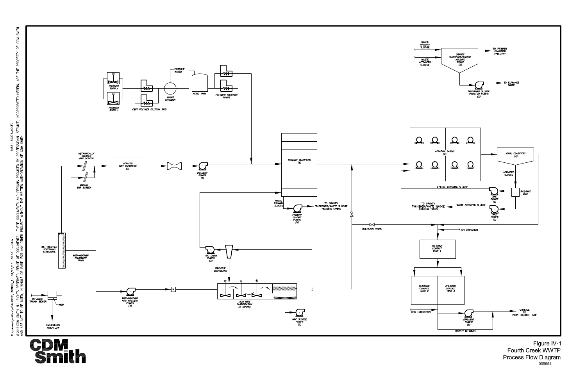

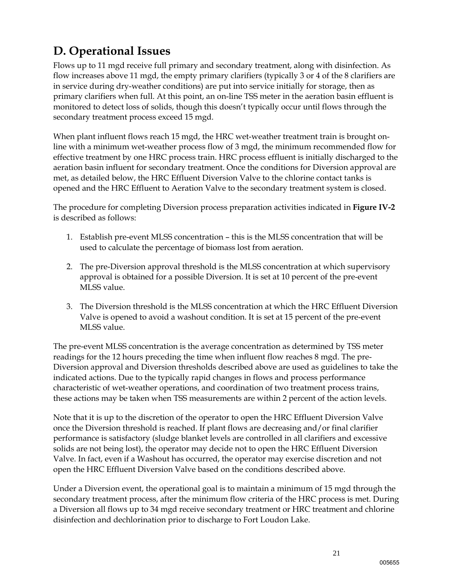## **D. Operational Issues**

Flows up to 11 mgd receive full primary and secondary treatment, along with disinfection. As flow increases above 11 mgd, the empty primary clarifiers (typically 3 or 4 of the 8 clarifiers are in service during dry-weather conditions) are put into service initially for storage, then as primary clarifiers when full. At this point, an on-line TSS meter in the aeration basin effluent is monitored to detect loss of solids, though this doesn't typically occur until flows through the secondary treatment process exceed 15 mgd.

When plant influent flows reach 15 mgd, the HRC wet-weather treatment train is brought online with a minimum wet-weather process flow of 3 mgd, the minimum recommended flow for effective treatment by one HRC process train. HRC process effluent is initially discharged to the aeration basin influent for secondary treatment. Once the conditions for Diversion approval are met, as detailed below, the HRC Effluent Diversion Valve to the chlorine contact tanks is opened and the HRC Effluent to Aeration Valve to the secondary treatment system is closed.

The procedure for completing Diversion process preparation activities indicated in **Figure IV-2** is described as follows:

- 1. Establish pre-event MLSS concentration this is the MLSS concentration that will be used to calculate the percentage of biomass lost from aeration.
- 2. The pre-Diversion approval threshold is the MLSS concentration at which supervisory approval is obtained for a possible Diversion. It is set at 10 percent of the pre-event MLSS value.
- 3. The Diversion threshold is the MLSS concentration at which the HRC Effluent Diversion Valve is opened to avoid a washout condition. It is set at 15 percent of the pre-event MLSS value.

The pre-event MLSS concentration is the average concentration as determined by TSS meter readings for the 12 hours preceding the time when influent flow reaches 8 mgd. The pre-Diversion approval and Diversion thresholds described above are used as guidelines to take the indicated actions. Due to the typically rapid changes in flows and process performance characteristic of wet-weather operations, and coordination of two treatment process trains, these actions may be taken when TSS measurements are within 2 percent of the action levels.

Note that it is up to the discretion of the operator to open the HRC Effluent Diversion Valve once the Diversion threshold is reached. If plant flows are decreasing and/or final clarifier performance is satisfactory (sludge blanket levels are controlled in all clarifiers and excessive solids are not being lost), the operator may decide not to open the HRC Effluent Diversion Valve. In fact, even if a Washout has occurred, the operator may exercise discretion and not open the HRC Effluent Diversion Valve based on the conditions described above.

Under a Diversion event, the operational goal is to maintain a minimum of 15 mgd through the secondary treatment process, after the minimum flow criteria of the HRC process is met. During a Diversion all flows up to 34 mgd receive secondary treatment or HRC treatment and chlorine disinfection and dechlorination prior to discharge to Fort Loudon Lake.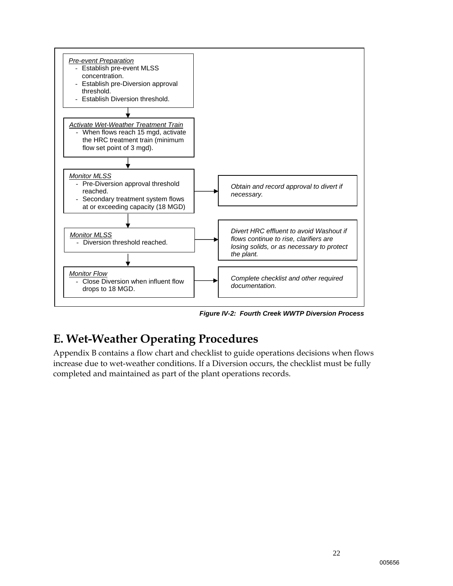

*Figure IV-2: Fourth Creek WWTP Diversion Process* 

## **E. Wet-Weather Operating Procedures**

Appendix B contains a flow chart and checklist to guide operations decisions when flows increase due to wet-weather conditions. If a Diversion occurs, the checklist must be fully completed and maintained as part of the plant operations records.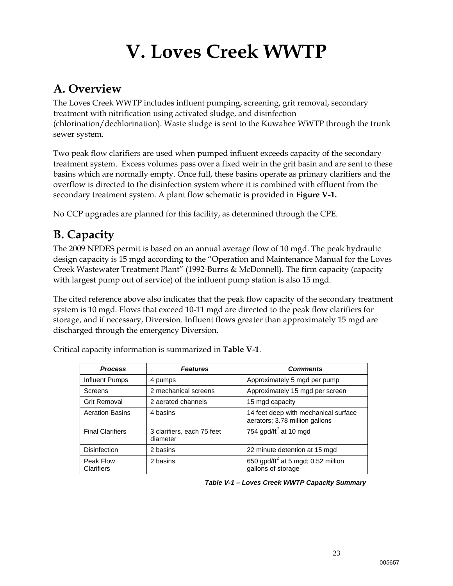# **V. Loves Creek WWTP**

### **A. Overview**

The Loves Creek WWTP includes influent pumping, screening, grit removal, secondary treatment with nitrification using activated sludge, and disinfection (chlorination/dechlorination). Waste sludge is sent to the Kuwahee WWTP through the trunk sewer system.

Two peak flow clarifiers are used when pumped influent exceeds capacity of the secondary treatment system. Excess volumes pass over a fixed weir in the grit basin and are sent to these basins which are normally empty. Once full, these basins operate as primary clarifiers and the overflow is directed to the disinfection system where it is combined with effluent from the secondary treatment system. A plant flow schematic is provided in **Figure V-1.** 

No CCP upgrades are planned for this facility, as determined through the CPE.

## **B. Capacity**

The 2009 NPDES permit is based on an annual average flow of 10 mgd. The peak hydraulic design capacity is 15 mgd according to the "Operation and Maintenance Manual for the Loves Creek Wastewater Treatment Plant" (1992-Burns & McDonnell). The firm capacity (capacity with largest pump out of service) of the influent pump station is also 15 mgd.

The cited reference above also indicates that the peak flow capacity of the secondary treatment system is 10 mgd. Flows that exceed 10-11 mgd are directed to the peak flow clarifiers for storage, and if necessary, Diversion. Influent flows greater than approximately 15 mgd are discharged through the emergency Diversion.

| <b>Process</b>          | <b>Features</b>                        | <b>Comments</b>                                                        |
|-------------------------|----------------------------------------|------------------------------------------------------------------------|
| Influent Pumps          | 4 pumps                                | Approximately 5 mgd per pump                                           |
| Screens                 | 2 mechanical screens                   | Approximately 15 mgd per screen                                        |
| Grit Removal            | 2 aerated channels                     | 15 mgd capacity                                                        |
| <b>Aeration Basins</b>  | 4 basins                               | 14 feet deep with mechanical surface<br>aerators; 3.78 million gallons |
| <b>Final Clarifiers</b> | 3 clarifiers, each 75 feet<br>diameter | 754 gpd/ft $^2$ at 10 mgd                                              |
| <b>Disinfection</b>     | 2 basins                               | 22 minute detention at 15 mgd                                          |
| Peak Flow<br>Clarifiers | 2 basins                               | 650 gpd/ft <sup>2</sup> at 5 mgd; 0.52 million<br>gallons of storage   |

Critical capacity information is summarized in **Table V-1**.

*Table V-1 – Loves Creek WWTP Capacity Summary*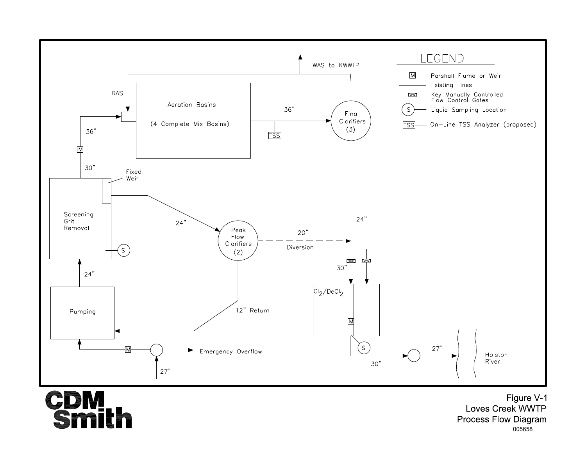

**CDM**<br>Smith

Figure V-1 Loves Creek WWTP **Process Flow Diagram** 005658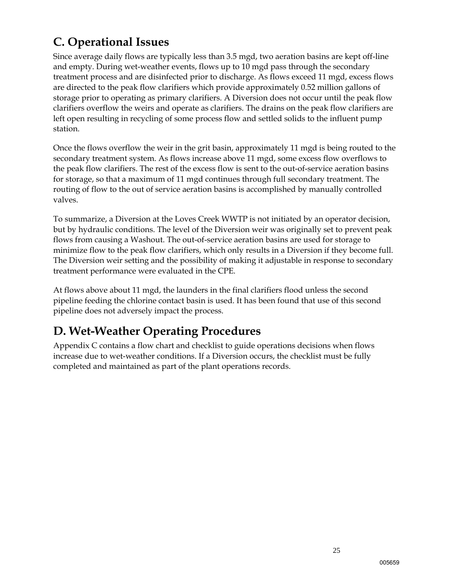## **C. Operational Issues**

Since average daily flows are typically less than 3.5 mgd, two aeration basins are kept off-line and empty. During wet-weather events, flows up to 10 mgd pass through the secondary treatment process and are disinfected prior to discharge. As flows exceed 11 mgd, excess flows are directed to the peak flow clarifiers which provide approximately 0.52 million gallons of storage prior to operating as primary clarifiers. A Diversion does not occur until the peak flow clarifiers overflow the weirs and operate as clarifiers. The drains on the peak flow clarifiers are left open resulting in recycling of some process flow and settled solids to the influent pump station.

Once the flows overflow the weir in the grit basin, approximately 11 mgd is being routed to the secondary treatment system. As flows increase above 11 mgd, some excess flow overflows to the peak flow clarifiers. The rest of the excess flow is sent to the out-of-service aeration basins for storage, so that a maximum of 11 mgd continues through full secondary treatment. The routing of flow to the out of service aeration basins is accomplished by manually controlled valves.

To summarize, a Diversion at the Loves Creek WWTP is not initiated by an operator decision, but by hydraulic conditions. The level of the Diversion weir was originally set to prevent peak flows from causing a Washout. The out-of-service aeration basins are used for storage to minimize flow to the peak flow clarifiers, which only results in a Diversion if they become full. The Diversion weir setting and the possibility of making it adjustable in response to secondary treatment performance were evaluated in the CPE.

At flows above about 11 mgd, the launders in the final clarifiers flood unless the second pipeline feeding the chlorine contact basin is used. It has been found that use of this second pipeline does not adversely impact the process.

### **D. Wet-Weather Operating Procedures**

Appendix C contains a flow chart and checklist to guide operations decisions when flows increase due to wet-weather conditions. If a Diversion occurs, the checklist must be fully completed and maintained as part of the plant operations records.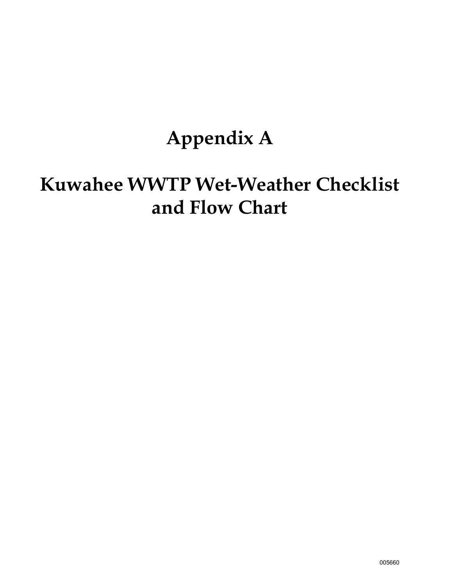# **Appendix A**

# **Kuwahee WWTP Wet-Weather Checklist and Flow Chart**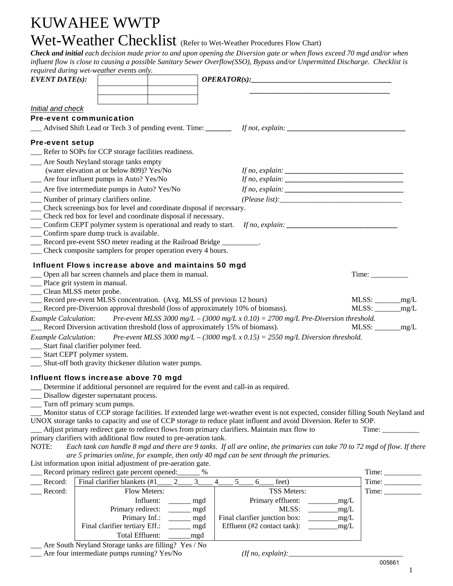## KUWAHEE WWTP Wet-Weather Checklist (Refer to Wet-Weather Procedures Flow Chart)

*Check and initial each decision made prior to and upon opening the Diversion gate or when flows exceed 70 mgd and/or when influent flow is close to causing a possible Sanitary Sewer Overflow(SSO), Bypass and/or Unpermitted Discharge. Checklist is required during wet-weather events only.*

| required during wet-weather events only.                                |                                                                         |       |   |                                                                                                                                                                                                                                                                            |       |                              |       |
|-------------------------------------------------------------------------|-------------------------------------------------------------------------|-------|---|----------------------------------------------------------------------------------------------------------------------------------------------------------------------------------------------------------------------------------------------------------------------------|-------|------------------------------|-------|
| $EVENT\,DATE(s):$                                                       |                                                                         |       |   | OPERATOR(s):                                                                                                                                                                                                                                                               |       |                              |       |
|                                                                         |                                                                         |       |   |                                                                                                                                                                                                                                                                            |       |                              |       |
|                                                                         |                                                                         |       |   |                                                                                                                                                                                                                                                                            |       |                              |       |
| Initial and check                                                       |                                                                         |       |   |                                                                                                                                                                                                                                                                            |       |                              |       |
| <b>Pre-event communication</b>                                          |                                                                         |       |   |                                                                                                                                                                                                                                                                            |       |                              |       |
|                                                                         |                                                                         |       |   |                                                                                                                                                                                                                                                                            |       |                              |       |
|                                                                         |                                                                         |       |   |                                                                                                                                                                                                                                                                            |       |                              |       |
| <b>Pre-event setup</b>                                                  |                                                                         |       |   |                                                                                                                                                                                                                                                                            |       |                              |       |
|                                                                         | __ Refer to SOPs for CCP storage facilities readiness.                  |       |   |                                                                                                                                                                                                                                                                            |       |                              |       |
|                                                                         | __ Are South Neyland storage tanks empty                                |       |   |                                                                                                                                                                                                                                                                            |       |                              |       |
|                                                                         | (water elevation at or below 809)? Yes/No                               |       |   |                                                                                                                                                                                                                                                                            |       |                              |       |
|                                                                         | __ Are four influent pumps in Auto? Yes/No                              |       |   | If no, explain: $\sqrt{\frac{2\pi}{n}}$                                                                                                                                                                                                                                    |       |                              |       |
|                                                                         | __ Are five intermediate pumps in Auto? Yes/No                          |       |   | If no, explain: $\frac{1}{2}$ explain: $\frac{1}{2}$ explaint: $\frac{1}{2}$ explaint: $\frac{1}{2}$ explaint: $\frac{1}{2}$ explaint: $\frac{1}{2}$ explaint: $\frac{1}{2}$ explaint: $\frac{1}{2}$ explaint: $\frac{1}{2}$ explaint: $\frac{1}{2}$ explaint: $\frac{1}{$ |       |                              |       |
| __ Number of primary clarifiers online.                                 |                                                                         |       |   | (Please list):                                                                                                                                                                                                                                                             |       |                              |       |
|                                                                         | __ Check screenings box for level and coordinate disposal if necessary. |       |   |                                                                                                                                                                                                                                                                            |       |                              |       |
|                                                                         | Check red box for level and coordinate disposal if necessary.           |       |   |                                                                                                                                                                                                                                                                            |       |                              |       |
|                                                                         | Confirm CEPT polymer system is operational and ready to start.          |       |   |                                                                                                                                                                                                                                                                            |       |                              |       |
|                                                                         | Confirm spare dump truck is available.                                  |       |   |                                                                                                                                                                                                                                                                            |       |                              |       |
|                                                                         | Record pre-event SSO meter reading at the Railroad Bridge               |       |   |                                                                                                                                                                                                                                                                            |       |                              |       |
|                                                                         | Check composite samplers for proper operation every 4 hours.            |       |   |                                                                                                                                                                                                                                                                            |       |                              |       |
|                                                                         | Influent Flows increase above and maintains 50 mgd                      |       |   |                                                                                                                                                                                                                                                                            |       |                              |       |
|                                                                         | Open all bar screen channels and place them in manual.                  |       |   |                                                                                                                                                                                                                                                                            |       | Time:                        |       |
| __ Place grit system in manual.                                         |                                                                         |       |   |                                                                                                                                                                                                                                                                            |       |                              |       |
| __ Clean MLSS meter probe.                                              |                                                                         |       |   |                                                                                                                                                                                                                                                                            |       |                              |       |
|                                                                         |                                                                         |       |   | __ Record pre-event MLSS concentration. (Avg. MLSS of previous 12 hours)<br>__ Record pre-Diversion approval threshold (loss of approximately 10% of biomass).                                                                                                             |       | $MLSS:$ $\qquad \qquad$ mg/L |       |
|                                                                         |                                                                         |       |   |                                                                                                                                                                                                                                                                            |       |                              |       |
| <b>Example Calculation:</b>                                             |                                                                         |       |   | Pre-event MLSS 3000 mg/L – (3000 mg/L x 0.10) = 2700 mg/L Pre-Diversion threshold.                                                                                                                                                                                         |       |                              |       |
|                                                                         |                                                                         |       |   | __ Record Diversion activation threshold (loss of approximately 15% of biomass).                                                                                                                                                                                           |       |                              |       |
| <b>Example Calculation:</b>                                             |                                                                         |       |   | Pre-event MLSS 3000 mg/L – (3000 mg/L x 0.15) = 2550 mg/L Diversion threshold.                                                                                                                                                                                             |       |                              |       |
| __ Start final clarifier polymer feed.<br>__ Start CEPT polymer system. |                                                                         |       |   |                                                                                                                                                                                                                                                                            |       |                              |       |
|                                                                         | __ Shut-off both gravity thickener dilution water pumps.                |       |   |                                                                                                                                                                                                                                                                            |       |                              |       |
|                                                                         |                                                                         |       |   |                                                                                                                                                                                                                                                                            |       |                              |       |
|                                                                         | Influent flows increase above 70 mgd                                    |       |   |                                                                                                                                                                                                                                                                            |       |                              |       |
|                                                                         |                                                                         |       |   | Determine if additional personnel are required for the event and call-in as required.                                                                                                                                                                                      |       |                              |       |
|                                                                         | Disallow digester supernatant process.                                  |       |   |                                                                                                                                                                                                                                                                            |       |                              |       |
| __ Turn off primary scum pumps.                                         |                                                                         |       |   |                                                                                                                                                                                                                                                                            |       |                              |       |
|                                                                         |                                                                         |       |   | Monitor status of CCP storage facilities. If extended large wet-weather event is not expected, consider filling South Neyland and                                                                                                                                          |       |                              |       |
|                                                                         |                                                                         |       |   | UNOX storage tanks to capacity and use of CCP storage to reduce plant influent and avoid Diversion. Refer to SOP.                                                                                                                                                          |       |                              |       |
|                                                                         | primary clarifiers with additional flow routed to pre-aeration tank.    |       |   | Adjust primary redirect gate to redirect flows from primary clarifiers. Maintain max flow to                                                                                                                                                                               |       | Time:                        |       |
| NOTE:                                                                   |                                                                         |       |   | Each tank can handle 8 mgd and there are 9 tanks. If all are online, the primaries can take 70 to 72 mgd of flow. If there                                                                                                                                                 |       |                              |       |
|                                                                         |                                                                         |       |   | are 5 primaries online, for example, then only 40 mgd can be sent through the primaries.                                                                                                                                                                                   |       |                              |       |
|                                                                         | List information upon initial adjustment of pre-aeration gate.          |       |   |                                                                                                                                                                                                                                                                            |       |                              |       |
|                                                                         | Record primary redirect gate percent opened:                            |       |   |                                                                                                                                                                                                                                                                            |       |                              |       |
| Record:                                                                 | Final clarifier blankets (#1                                            | 3     | 4 | 5<br>feet)<br>6                                                                                                                                                                                                                                                            |       |                              |       |
| Record:                                                                 | Flow Meters:                                                            |       |   | TSS Meters:                                                                                                                                                                                                                                                                |       |                              | Time: |
|                                                                         | Influent:                                                               | mgd   |   | Primary effluent:                                                                                                                                                                                                                                                          | _mg/L |                              |       |
|                                                                         | Primary redirect:                                                       | mgd   |   | MLSS:                                                                                                                                                                                                                                                                      | mg/L  |                              |       |
|                                                                         | Primary Inf.:                                                           | _ mgd |   | Final clarifier junction box:                                                                                                                                                                                                                                              | mg/L  |                              |       |
|                                                                         | Final clarifier tertiary Eff.:                                          | mgd   |   | Effluent (#2 contact tank):                                                                                                                                                                                                                                                | mg/L  |                              |       |
|                                                                         | Total Effluent:                                                         | _mgd  |   |                                                                                                                                                                                                                                                                            |       |                              |       |

\_\_\_ Are South Neyland Storage tanks are filling? Yes / No

\_\_\_ Are four intermediate pumps running? Yes/No *(If no, explain):*\_\_\_\_\_\_\_\_\_\_\_\_\_\_\_\_\_\_\_\_\_\_\_\_\_\_\_\_\_\_\_

| (If no, explain): |  |
|-------------------|--|
|-------------------|--|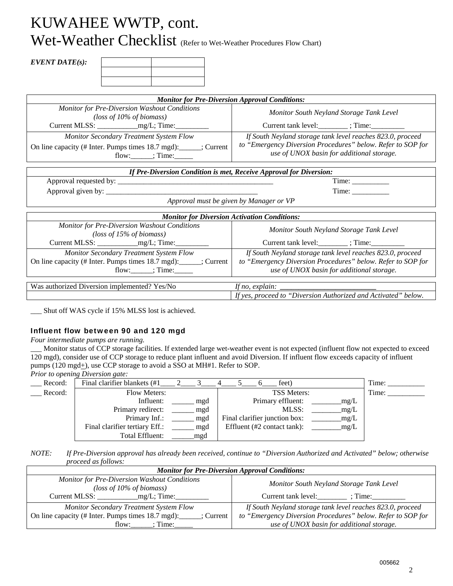## KUWAHEE WWTP, cont. Wet-Weather Checklist (Refer to Wet-Weather Procedures Flow Chart)

#### *EVENT DATE(s):*

| <b>Monitor for Pre-Diversion Approval Conditions:</b>                                                                                              |                                                                                                                                                                        |  |  |  |  |
|----------------------------------------------------------------------------------------------------------------------------------------------------|------------------------------------------------------------------------------------------------------------------------------------------------------------------------|--|--|--|--|
| Monitor for Pre-Diversion Washout Conditions<br>(loss of $10\%$ of biomass)                                                                        | Monitor South Neyland Storage Tank Level<br>Current tank level: ________; Time: __________                                                                             |  |  |  |  |
| Monitor Secondary Treatment System Flow<br>On line capacity (# Inter. Pumps times 18.7 mgd): _____; Current<br>$flow:$ $\frac{\cdot}{\cdot}$ Time: | If South Neyland storage tank level reaches 823.0, proceed<br>to "Emergency Diversion Procedures" below. Refer to SOP for<br>use of UNOX basin for additional storage. |  |  |  |  |
| If Pre-Diversion Condition is met, Receive Approval for Diversion:                                                                                 |                                                                                                                                                                        |  |  |  |  |
|                                                                                                                                                    |                                                                                                                                                                        |  |  |  |  |
|                                                                                                                                                    | Time:                                                                                                                                                                  |  |  |  |  |
| Approval must be given by Manager or VP                                                                                                            |                                                                                                                                                                        |  |  |  |  |
| <b>Monitor for Diversion Activation Conditions:</b>                                                                                                |                                                                                                                                                                        |  |  |  |  |
| Monitor for Pre-Diversion Washout Conditions<br>(loss of $15\%$ of biomass)                                                                        | Monitor South Neyland Storage Tank Level<br>Current tank level: ________; Time: __________                                                                             |  |  |  |  |
| <b>Monitor Secondary Treatment System Flow</b><br>On line capacity (# Inter. Pumps times 18.7 mgd): ______; Current<br>flow: ; Time:               | If South Neyland storage tank level reaches 823.0, proceed<br>to "Emergency Diversion Procedures" below. Refer to SOP for<br>use of UNOX basin for additional storage. |  |  |  |  |
| Was authorized Diversion implemented? Yes/No                                                                                                       | If no, explain: $\frac{ }{ }$<br>If yes, proceed to "Diversion Authorized and Activated" below.                                                                        |  |  |  |  |

\_\_\_ Shut off WAS cycle if 15% MLSS lost is achieved.

#### Influent flow between 90 and 120 mgd

*Four intermediate pumps are running.* 

\_\_\_ Monitor status of CCP storage facilities. If extended large wet-weather event is not expected (influent flow not expected to exceed 120 mgd), consider use of CCP storage to reduce plant influent and avoid Diversion. If influent flow exceeds capacity of influent pumps (120 mgd<sup>+</sup>), use CCP storage to avoid a SSO at MH#1. Refer to SOP.

*Prior to opening Diversion gate:* 

| -       |                                |     |                               |      |       |
|---------|--------------------------------|-----|-------------------------------|------|-------|
| Record: | Final clarifier blankets (#1)  |     | feet)                         |      | Time: |
| Record: | <b>Flow Meters:</b>            |     | <b>TSS Meters:</b>            |      | Time: |
|         | Influent:                      | mgd | Primary effluent:             | mg/L |       |
|         | Primary redirect:              | mgd | MLSS:                         | mg/L |       |
|         | Primary Inf.:                  | mgd | Final clarifier junction box: | mg/L |       |
|         | Final clarifier tertiary Eff.: | mgd | Effluent (#2 contact tank):   | mg/L |       |
|         | Total Effluent:                | mgd |                               |      |       |

*NOTE: If Pre-Diversion approval has already been received, continue to "Diversion Authorized and Activated" below; otherwise proceed as follows:* 

| <b>Monitor for Pre-Diversion Approval Conditions:</b>                       |                                                             |  |  |  |  |  |
|-----------------------------------------------------------------------------|-------------------------------------------------------------|--|--|--|--|--|
| Monitor for Pre-Diversion Washout Conditions<br>(loss of $10\%$ of biomass) | Monitor South Neyland Storage Tank Level                    |  |  |  |  |  |
| _mg/L; Time:<br>Current MLSS:                                               | Current tank level:<br>: Time:                              |  |  |  |  |  |
| <b>Monitor Secondary Treatment System Flow</b>                              | If South Neyland storage tank level reaches 823.0, proceed  |  |  |  |  |  |
| On line capacity (# Inter. Pumps times 18.7 mgd):<br>: Current '            | to "Emergency Diversion Procedures" below. Refer to SOP for |  |  |  |  |  |
| : Time:<br>flow:                                                            | use of UNOX basin for additional storage.                   |  |  |  |  |  |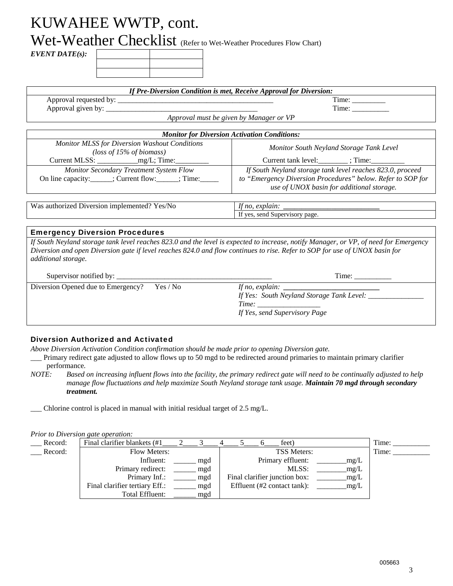Wet-Weather Checklist (Refer to Wet-Weather Procedures Flow Chart)

*EVENT DATE(s):* 

|                                                                                                                                                                                             | If Pre-Diversion Condition is met, Receive Approval for Diversion:                                                                                                     |  |  |
|---------------------------------------------------------------------------------------------------------------------------------------------------------------------------------------------|------------------------------------------------------------------------------------------------------------------------------------------------------------------------|--|--|
|                                                                                                                                                                                             |                                                                                                                                                                        |  |  |
|                                                                                                                                                                                             | Time:                                                                                                                                                                  |  |  |
|                                                                                                                                                                                             | Approval must be given by Manager or VP                                                                                                                                |  |  |
|                                                                                                                                                                                             | <b>Monitor for Diversion Activation Conditions:</b>                                                                                                                    |  |  |
| <b>Monitor MLSS for Diversion Washout Conditions</b>                                                                                                                                        | Monitor South Neyland Storage Tank Level                                                                                                                               |  |  |
| (loss of $15\%$ of biomass)                                                                                                                                                                 |                                                                                                                                                                        |  |  |
| Monitor Secondary Treatment System Flow<br>On line capacity: ______; Current flow: _____; Time: ______                                                                                      | If South Neyland storage tank level reaches 823.0, proceed<br>to "Emergency Diversion Procedures" below. Refer to SOP for<br>use of UNOX basin for additional storage. |  |  |
| Was authorized Diversion implemented? Yes/No                                                                                                                                                | If yes, send Supervisory page.                                                                                                                                         |  |  |
|                                                                                                                                                                                             |                                                                                                                                                                        |  |  |
| <b>Emergency Diversion Procedures</b><br>Diversion and open Diversion gate if level reaches 824.0 and flow continues to rise. Refer to SOP for use of UNOX basin for<br>additional storage. | If South Neyland storage tank level reaches 823.0 and the level is expected to increase, notify Manager, or VP, of need for Emergency                                  |  |  |
|                                                                                                                                                                                             | Time:                                                                                                                                                                  |  |  |
| Yes / No<br>Diversion Opened due to Emergency?                                                                                                                                              | If Yes: South Neyland Storage Tank Level: ___________                                                                                                                  |  |  |

#### Diversion Authorized and Activated

*Above Diversion Activation Condition confirmation should be made prior to opening Diversion gate.* 

- \_\_\_ Primary redirect gate adjusted to allow flows up to 50 mgd to be redirected around primaries to maintain primary clarifier performance*.*
- *NOTE: Based on increasing influent flows into the facility, the primary redirect gate will need to be continually adjusted to help manage flow fluctuations and help maximize South Neyland storage tank usage. Maintain 70 mgd through secondary treatment.*

*If Yes, send Supervisory Page* 

\_\_\_ Chlorine control is placed in manual with initial residual target of 2.5 mg/L.

#### *Prior to Diversion gate operation:*

| Record: | Final clarifier blankets (#1)  |     | feet)                                 | Time: |
|---------|--------------------------------|-----|---------------------------------------|-------|
| Record: | <b>Flow Meters:</b>            |     | <b>TSS Meters:</b>                    | Time: |
|         | Influent:                      | mgd | Primary effluent:<br>mg/L             |       |
|         | Primary redirect:              | mgd | MLSS:<br>mg/L                         |       |
|         | Primary Inf.:                  | mgd | Final clarifier junction box:<br>mg/L |       |
|         | Final clarifier tertiary Eff.: | mgd | Effluent (#2 contact tank):<br>mg/L   |       |
|         | Total Effluent:                | mgd |                                       |       |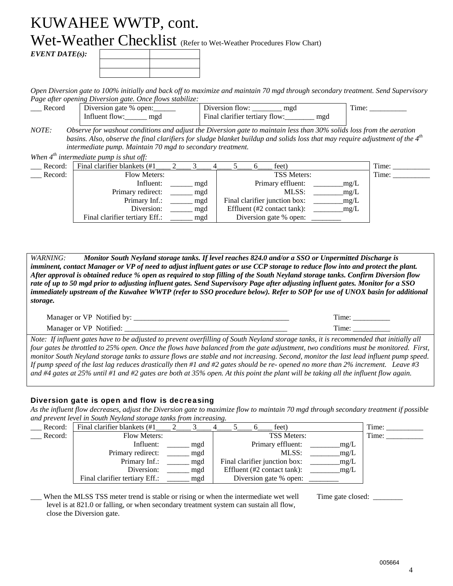Wet-Weather Checklist (Refer to Wet-Weather Procedures Flow Chart)

*EVENT DATE(s):* 

*Open Diversion gate to 100% initially and back off to maximize and maintain 70 mgd through secondary treatment. Send Supervisory Page after opening Diversion gate. Once flows stabilize:* 

| Record | Diversion gate % open: | mgd<br>Diversion flow:                | ime |
|--------|------------------------|---------------------------------------|-----|
|        | Influent flow:<br>mgd  | Final clarifier tertiary flow:<br>mgd |     |

*NOTE: Observe for washout conditions and adjust the Diversion gate to maintain less than 30% solids loss from the aeration*  basins. Also, observe the final clarifiers for sludge blanket buildup and solids loss that may require adjustment of the 4<sup>th</sup> *intermediate pump. Maintain 70 mgd to secondary treatment.* 

*When 4th intermediate pump is shut off:* 

| Record: | Final clarifier blankets (#1)  |     | feet)                                           | Time: |
|---------|--------------------------------|-----|-------------------------------------------------|-------|
| Record: | Flow Meters:                   |     | <b>TSS Meters:</b>                              | Time: |
|         | Influent:                      | mgd | Primary effluent:<br>mg/L                       |       |
|         | Primary redirect:              | mgd | MLSS:<br>mg/L                                   |       |
|         | Primary Inf.:                  | mgd | Final clarifier junction box:<br>mg/L           |       |
|         | Diversion:                     | mgd | Effluent $(\#2 \text{ contact tank})$ :<br>mg/L |       |
|         | Final clarifier tertiary Eff.: | mgd | Diversion gate % open:                          |       |

*WARNING: Monitor South Neyland storage tanks. If level reaches 824.0 and/or a SSO or Unpermitted Discharge is imminent, contact Manager or VP of need to adjust influent gates or use CCP storage to reduce flow into and protect the plant. After approval is obtained reduce % open as required to stop filling of the South Neyland storage tanks. Confirm Diversion flow rate of up to 50 mgd prior to adjusting influent gates. Send Supervisory Page after adjusting influent gates. Monitor for a SSO immediately upstream of the Kuwahee WWTP (refer to SSO procedure below). Refer to SOP for use of UNOX basin for additional storage.* 

| Manager or VP Notified by: | `1me |
|----------------------------|------|
| Manager or VP Notified:    | ำm≏  |

*Note: If influent gates have to be adjusted to prevent overfilling of South Neyland storage tanks, it is recommended that initially all four gates be throttled to 25% open. Once the flows have balanced from the gate adjustment, two conditions must be monitored. First, monitor South Neyland storage tanks to assure flows are stable and not increasing. Second, monitor the last lead influent pump speed. If pump speed of the last lag reduces drastically then #1 and #2 gates should be re- opened no more than 2% increment. Leave #3 and #4 gates at 25% until #1 and #2 gates are both at 35% open. At this point the plant will be taking all the influent flow again.* 

#### Diversion gate is open and flow is decreasing

*As the influent flow decreases, adjust the Diversion gate to maximize flow to maintain 70 mgd through secondary treatment if possible and prevent level in South Neyland storage tanks from increasing.* 

| Record: | Final clarifier blankets (#1   |     |  | feet)                         |      | Time: |
|---------|--------------------------------|-----|--|-------------------------------|------|-------|
| Record: | Flow Meters:                   |     |  | <b>TSS Meters:</b>            |      | Time: |
|         | Influent:                      | mgd |  | Primary effluent:             | mg/L |       |
|         | Primary redirect:              | mgd |  | MLSS:                         | mg/L |       |
|         | Primary Inf.:                  | mgd |  | Final clarifier junction box: | mg/L |       |
|         | Diversion:                     | mgd |  | Effluent (#2 contact tank):   | mg/L |       |
|         | Final clarifier tertiary Eff.: | mgd |  | Diversion gate % open:        |      |       |

When the MLSS TSS meter trend is stable or rising or when the intermediate wet well level is at 821.0 or falling, or when secondary treatment system can sustain all flow, close the Diversion gate.

Time gate closed: \_\_\_\_\_\_\_\_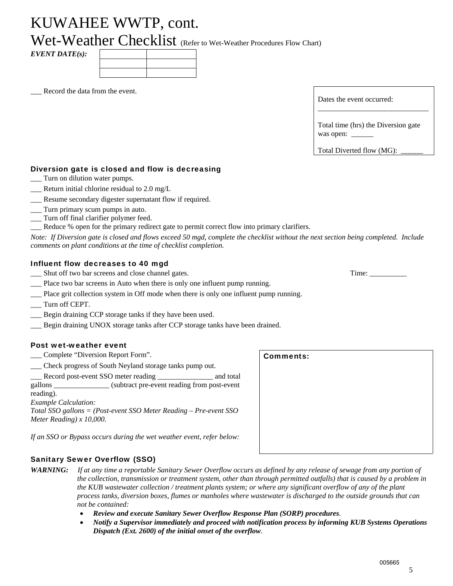Wet-Weather Checklist (Refer to Wet-Weather Procedures Flow Chart)

*EVENT DATE(s):* 

Record the data from the event.

| Dates the event occurred: |  |
|---------------------------|--|
|                           |  |

Total time (hrs) the Diversion gate was open: \_

Total Diverted flow (MG):

#### Diversion gate is closed and flow is decreasing

- \_\_\_ Turn on dilution water pumps.
- $\equiv$  Return initial chlorine residual to 2.0 mg/L
- \_\_\_ Resume secondary digester supernatant flow if required.
- \_\_\_ Turn primary scum pumps in auto.
- \_\_\_ Turn off final clarifier polymer feed.
- \_\_\_ Reduce % open for the primary redirect gate to permit correct flow into primary clarifiers.

*Note: If Diversion gate is closed and flows exceed 50 mgd, complete the checklist without the next section being completed. Include comments on plant conditions at the time of checklist completion.* 

#### Influent flow decreases to 40 mgd

- \_\_\_ Shut off two bar screens and close channel gates. Time: \_\_\_\_\_\_\_\_\_\_
- \_\_\_ Place two bar screens in Auto when there is only one influent pump running.
- Place grit collection system in Off mode when there is only one influent pump running.
- \_\_\_ Turn off CEPT.
- \_\_\_ Begin draining CCP storage tanks if they have been used.
- \_\_\_ Begin draining UNOX storage tanks after CCP storage tanks have been drained.

#### Post wet-weather event

- Let Complete "Diversion Report Form".
- \_\_\_ Check progress of South Neyland storage tanks pump out.

Record post-event SSO meter reading \_\_\_\_\_\_\_\_\_\_\_\_\_\_ and total gallons \_\_\_\_\_\_\_\_\_\_\_\_\_\_\_ (subtract pre-event reading from post-event reading). *Example Calculation: Total SSO gallons = (Post-event SSO Meter Reading – Pre-event SSO Meter Reading) x 10,000.* 

*If an SSO or Bypass occurs during the wet weather event, refer below:* 

#### Sanitary Sewer Overflow (SSO)

- *WARNING: If at any time a reportable Sanitary Sewer Overflow occurs as defined by any release of sewage from any portion of the collection, transmission or treatment system, other than through permitted outfalls) that is caused by a problem in the KUB wastewater collection / treatment plants system; or where any significant overflow of any of the plant process tanks, diversion boxes, flumes or manholes where wastewater is discharged to the outside grounds that can not be contained:* 
	- *Review and execute Sanitary Sewer Overflow Response Plan (SORP) procedures.*
	- *Notify a Supervisor immediately and proceed with notification process by informing KUB Systems Operations Dispatch (Ext. 2600) of the initial onset of the overflow.*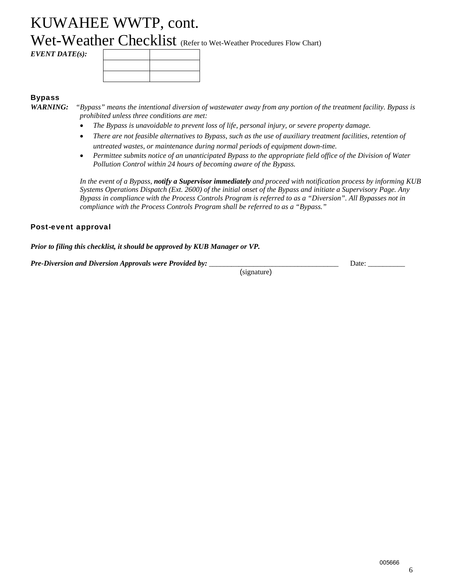Wet-Weather Checklist (Refer to Wet-Weather Procedures Flow Chart)

*EVENT DATE(s):* 

#### **Bypass**

- *WARNING: "Bypass" means the intentional diversion of wastewater away from any portion of the treatment facility. Bypass is prohibited unless three conditions are met:* 
	- *The Bypass is unavoidable to prevent loss of life, personal injury, or severe property damage.*
	- *There are not feasible alternatives to Bypass, such as the use of auxiliary treatment facilities, retention of untreated wastes, or maintenance during normal periods of equipment down-time.*
	- *Permittee submits notice of an unanticipated Bypass to the appropriate field office of the Division of Water Pollution Control within 24 hours of becoming aware of the Bypass.*

*In the event of a Bypass, notify a Supervisor immediately and proceed with notification process by informing KUB Systems Operations Dispatch (Ext. 2600) of the initial onset of the Bypass and initiate a Supervisory Page. Any Bypass in compliance with the Process Controls Program is referred to as a "Diversion". All Bypasses not in compliance with the Process Controls Program shall be referred to as a "Bypass."* 

#### Post-event approval

*Prior to filing this checklist, it should be approved by KUB Manager or VP.* 

*Pre-Diversion and Diversion Approvals were Provided by:* 

Date:  $\_\_$ 

(signature)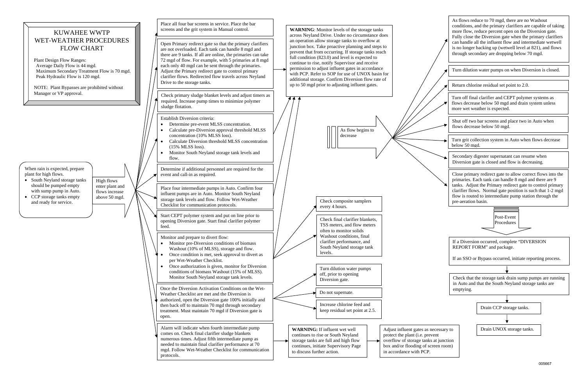#### When rain is expected, prepare plant for high flows. • South Neyland storage tanks should be pumped empty with sump pump in Auto. • CCP storage tanks empty and ready for service. High flows enter plant and flows increase above 50 mgd. Place all four bar screens in service. Place the bar screens and the grit system in Manual control. Place four intermediate pumps in Auto. Confirm four influent pumps are in Auto. Monitor South Neyland storage tank levels and flow. Follow Wet-Weather Checklist for communication protocols. Open Primary redirect gate so that the primary clarifiers are not overloaded. Each tank can handle 8 mgd and there are 9 tanks. If all are online, the primaries can take 72 mgd of flow. For example, with 5 primaries at 8 mgd each only 40 mgd can be sent through the primaries. Adjust the Primary redirect gate to control primary clarifier flows. Redirected flow travels across Neyland Drive to the storage tanks. Check primary sludge blanket levels and adjust timers as required. Increase pump times to minimize polymer sludge flotation. Alarm will indicate when fourth intermediate pump comes on. Check final clarifier sludge blankets numerous times. Adjust fifth intermediate pump as needed to maintain final clarifier performance at 70 mgd. Follow Wet-Weather Checklist for communication protocols. Monitor and prepare to divert flow: c Monitor pre-Diversion conditions of biomass Washout (10% of MLSS), storage and flow.  $\bullet$  Once condition is met, seek approval to divert as per Wet-Weather Checklist.  $\bullet$  Once authorization is given, monitor for Diversion conditions of biomass Washout (15% of MLSS). Monitor South Neyland storage tank levels. Turn dilution water pumps off, prior to opening Diversion gate. Do not supernate. Increase chlorine feed and keep residual set point at 2.5. **WARNING:** If influent wet well continues to rise or South Neyland storage tanks are full and high flow continues, initiate Supervisory Page to discuss further action. KUWAHEE WWTP WET-WEATHER PROCEDURES FLOW CHART Plant Design Flow Ranges: Average Daily Flow is 44 mgd. Maximum Secondary Treatment Flow is 70 mgd. Peak Hydraulic Flow is 120 mgd. NOTE: Plant Bypasses are prohibited without Manager or VP approval. Check final clarifier blankets, TSS meters, and flow meters often to monitor solids Washout conditions, final clarifier performance, and South Neyland storage tank levels.**WARNING**: Monitor levels of the storage tanks across Neyland Drive. Under no circumstance does an operation allow storage tanks to overflow at junction box. Take proactive planning and steps to prevent that from occurring. If storage tanks reach full condition (823.0) and level is expected to continue to rise, notify Supervisor and receive permission to adjust influent gates in accordance with PCP. Refer to SOP for use of UNOX basin for additional storage. Confirm Diversion flow rate of up to 50 mgd prior to adjusting influent gates. Start CEPT polymer system and put on line prior to opening Diversion gate. Start final clarifier polymer feed. As flow begins to decrease Establish Diversion criteria:  $\bullet$  Determine pre-event MLSS concentration. e Calculate pre-Diversion approval threshold MLSS concentration (10% MLSS loss). c Calculate Diversion threshold MLSS concentration (15% MLSS loss).  $\bullet$  Monitor South Neyland storage tank levels and flow. Once the Diversion Activation Conditions on the Wet-Weather Checklist are met and the Diversion is authorized, open the Diversion gate 100% initially and then back off to maintain 70 mgd through secondary treatment. Must maintain 70 mgd if Diversion gate is open. Adjust influent gates as necessary to protect the plant (i.e. prevent overflow of storage tanks at junction box and/or flooding of screen room) in accordance with PCP. Determine if additional personnel are required for the event and call-in as required. Check composite samplers every 4 hours.

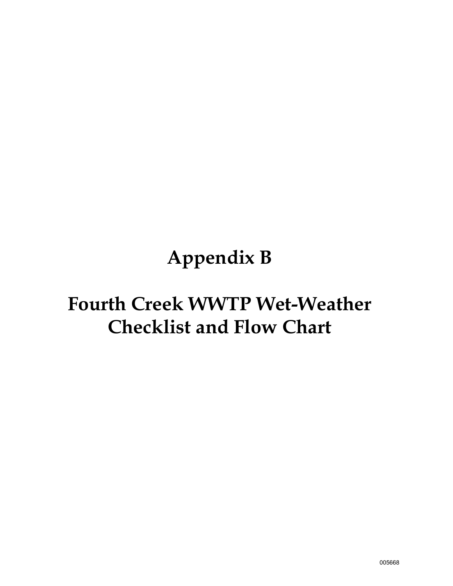# **Appendix B**

# **Fourth Creek WWTP Wet-Weather Checklist and Flow Chart**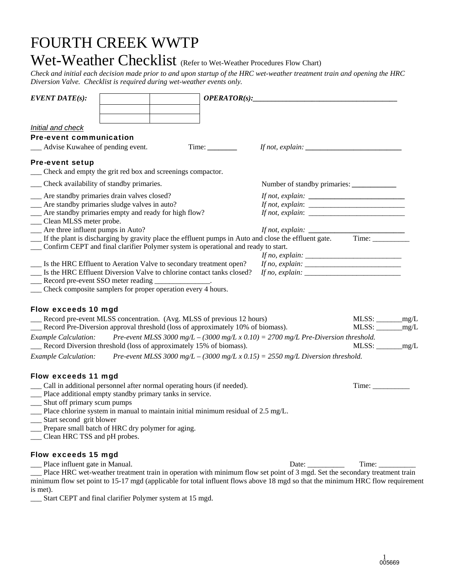## FOURTH CREEK WWTP

## Wet-Weather Checklist (Refer to Wet-Weather Procedures Flow Chart)

*Check and initial each decision made prior to and upon startup of the HRC wet-weather treatment train and opening the HRC Diversion Valve. Checklist is required during wet-weather events only.* 

| <b>EVENT DATE(s):</b>                                                                                                                                    | OPERATOR(s):                                                                                                                                                                                                                                                                                                                                                                                                       |                              |  |
|----------------------------------------------------------------------------------------------------------------------------------------------------------|--------------------------------------------------------------------------------------------------------------------------------------------------------------------------------------------------------------------------------------------------------------------------------------------------------------------------------------------------------------------------------------------------------------------|------------------------------|--|
|                                                                                                                                                          |                                                                                                                                                                                                                                                                                                                                                                                                                    |                              |  |
| Initial and check                                                                                                                                        |                                                                                                                                                                                                                                                                                                                                                                                                                    |                              |  |
| <b>Pre-event communication</b>                                                                                                                           |                                                                                                                                                                                                                                                                                                                                                                                                                    |                              |  |
| Advise Kuwahee of pending event.                                                                                                                         |                                                                                                                                                                                                                                                                                                                                                                                                                    |                              |  |
| <b>Pre-event setup</b><br>Check and empty the grit red box and screenings compactor.                                                                     |                                                                                                                                                                                                                                                                                                                                                                                                                    |                              |  |
| Check availability of standby primaries.                                                                                                                 |                                                                                                                                                                                                                                                                                                                                                                                                                    |                              |  |
| __ Are standby primaries drain valves closed?                                                                                                            |                                                                                                                                                                                                                                                                                                                                                                                                                    |                              |  |
| __ Are standby primaries sludge valves in auto?                                                                                                          | If not, explain: $\frac{1}{1}$                                                                                                                                                                                                                                                                                                                                                                                     |                              |  |
| __ Are standby primaries empty and ready for high flow?                                                                                                  | If not, explain: $\frac{1}{\sqrt{1-\frac{1}{n}}}\left\{ \frac{1}{n^2}, \frac{1}{n^2}, \frac{1}{n^2}, \frac{1}{n^2}, \frac{1}{n^2}, \frac{1}{n^2}, \frac{1}{n^2}, \frac{1}{n^2}, \frac{1}{n^2}, \frac{1}{n^2}, \frac{1}{n^2}, \frac{1}{n^2}, \frac{1}{n^2}, \frac{1}{n^2}, \frac{1}{n^2}, \frac{1}{n^2}, \frac{1}{n^2}, \frac{1}{n^2}, \frac{1}{n^2}, \frac{1}{n^2}, \frac{$                                        |                              |  |
| __ Clean MLSS meter probe.                                                                                                                               |                                                                                                                                                                                                                                                                                                                                                                                                                    |                              |  |
| __ Are three influent pumps in Auto?                                                                                                                     | If not, explain: $\frac{1}{\sqrt{1-\frac{1}{\sqrt{1-\frac{1}{\sqrt{1-\frac{1}{\sqrt{1-\frac{1}{\sqrt{1-\frac{1}{\sqrt{1-\frac{1}{\sqrt{1-\frac{1}{\sqrt{1-\frac{1}{\sqrt{1-\frac{1}{\sqrt{1-\frac{1}{\sqrt{1-\frac{1}{\sqrt{1-\frac{1}{\sqrt{1-\frac{1}{\sqrt{1-\frac{1}{\sqrt{1-\frac{1}{\sqrt{1-\frac{1}{\sqrt{1-\frac{1}{\sqrt{1-\frac{1}{\sqrt{1-\frac{1}{\sqrt{1-\frac{1}{\sqrt{1-\frac{1}{\sqrt{1-\frac{1}{$ |                              |  |
| If the plant is discharging by gravity place the effluent pumps in Auto and close the effluent gate. Time:                                               |                                                                                                                                                                                                                                                                                                                                                                                                                    |                              |  |
| Confirm CEPT and final clarifier Polymer system is operational and ready to start.                                                                       |                                                                                                                                                                                                                                                                                                                                                                                                                    |                              |  |
| __ Is the HRC Effluent to Aeration Valve to secondary treatment open?                                                                                    |                                                                                                                                                                                                                                                                                                                                                                                                                    |                              |  |
| __ Is the HRC Effluent Diversion Valve to chlorine contact tanks closed?                                                                                 | If no, explain: $\frac{1}{1}$ = $\frac{1}{1}$ = $\frac{1}{1}$ = $\frac{1}{1}$ = $\frac{1}{1}$ = $\frac{1}{1}$ = $\frac{1}{1}$ = $\frac{1}{1}$ = $\frac{1}{1}$ = $\frac{1}{1}$ = $\frac{1}{1}$ = $\frac{1}{1}$ = $\frac{1}{1}$ = $\frac{1}{1}$ = $\frac{1}{1}$ = $\frac{1}{1}$ = $\frac{1}{1}$ =                                                                                                                    |                              |  |
| __ Record pre-event SSO meter reading                                                                                                                    |                                                                                                                                                                                                                                                                                                                                                                                                                    |                              |  |
| __ Check composite samplers for proper operation every 4 hours.                                                                                          |                                                                                                                                                                                                                                                                                                                                                                                                                    |                              |  |
|                                                                                                                                                          |                                                                                                                                                                                                                                                                                                                                                                                                                    |                              |  |
| Flow exceeds 10 mgd                                                                                                                                      |                                                                                                                                                                                                                                                                                                                                                                                                                    | $MLSS:$ $\qquad \qquad$ mg/L |  |
| Record pre-event MLSS concentration. (Avg. MLSS of previous 12 hours)<br>Record Pre-Diversion approval threshold (loss of approximately 10% of biomass). |                                                                                                                                                                                                                                                                                                                                                                                                                    |                              |  |
| <b>Example Calculation:</b>                                                                                                                              | Pre-event MLSS 3000 mg/L – (3000 mg/L x 0.10) = 2700 mg/L Pre-Diversion threshold.                                                                                                                                                                                                                                                                                                                                 |                              |  |
| Record Diversion threshold (loss of approximately 15% of biomass).                                                                                       |                                                                                                                                                                                                                                                                                                                                                                                                                    | $MLSS:$ $mg/L$               |  |
| <b>Example Calculation:</b>                                                                                                                              | Pre-event MLSS 3000 mg/L – (3000 mg/L x 0.15) = 2550 mg/L Diversion threshold.                                                                                                                                                                                                                                                                                                                                     |                              |  |
|                                                                                                                                                          |                                                                                                                                                                                                                                                                                                                                                                                                                    |                              |  |
| Flow exceeds 11 mgd                                                                                                                                      |                                                                                                                                                                                                                                                                                                                                                                                                                    |                              |  |
| __ Call in additional personnel after normal operating hours (if needed).                                                                                |                                                                                                                                                                                                                                                                                                                                                                                                                    |                              |  |
| __ Place additional empty standby primary tanks in service.                                                                                              |                                                                                                                                                                                                                                                                                                                                                                                                                    |                              |  |
| __ Shut off primary scum pumps                                                                                                                           |                                                                                                                                                                                                                                                                                                                                                                                                                    |                              |  |
| $\Box$ Place chlorine system in manual to maintain initial minimum residual of 2.5 mg/L.                                                                 |                                                                                                                                                                                                                                                                                                                                                                                                                    |                              |  |
| __ Start second grit blower                                                                                                                              |                                                                                                                                                                                                                                                                                                                                                                                                                    |                              |  |
| Prepare small batch of HRC dry polymer for aging.                                                                                                        |                                                                                                                                                                                                                                                                                                                                                                                                                    |                              |  |
| Clean HRC TSS and pH probes.                                                                                                                             |                                                                                                                                                                                                                                                                                                                                                                                                                    |                              |  |
| <b>Flow exceeds 15 mgd</b>                                                                                                                               |                                                                                                                                                                                                                                                                                                                                                                                                                    |                              |  |
| Place influent gate in Manual.                                                                                                                           | Date:                                                                                                                                                                                                                                                                                                                                                                                                              | Time:                        |  |
| Place HRC wet-weather treatment train in operation with minimum flow set point of 3 mgd. Set the secondary treatment train                               |                                                                                                                                                                                                                                                                                                                                                                                                                    |                              |  |
| minimum flow set point to 15-17 mgd (applicable for total influent flows above 18 mgd so that the minimum HRC flow requirement                           |                                                                                                                                                                                                                                                                                                                                                                                                                    |                              |  |
| is met).                                                                                                                                                 |                                                                                                                                                                                                                                                                                                                                                                                                                    |                              |  |
| Start CEPT and final clarifier Polymer system at 15 mgd.                                                                                                 |                                                                                                                                                                                                                                                                                                                                                                                                                    |                              |  |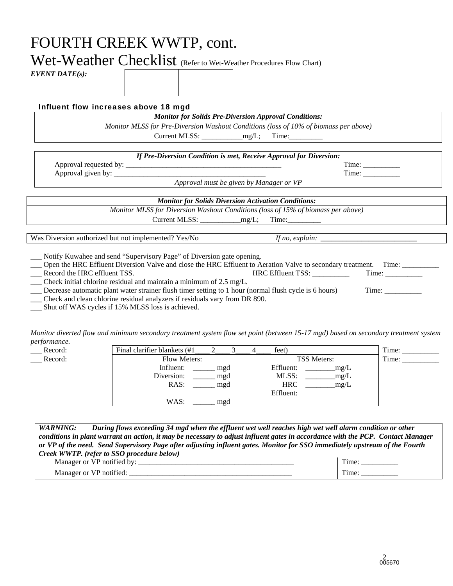## FOURTH CREEK WWTP, cont.

Wet-Weather Checklist (Refer to Wet-Weather Procedures Flow Chart)

*EVENT DATE(s):* 

#### Influent flow increases above 18 mgd

*Monitor for Solids Pre-Diversion Approval Conditions:* 

*Monitor MLSS for Pre-Diversion Washout Conditions (loss of 10% of biomass per above)* 

Current MLSS: \_\_\_\_\_\_\_\_\_\_\_mg/L; Time:\_\_\_\_\_\_\_\_\_

*If Pre-Diversion Condition is met, Receive Approval for Diversion:*  Approval requested by: \_\_\_\_\_\_\_\_\_\_\_\_\_\_\_\_\_\_\_\_\_\_\_\_\_\_\_\_\_\_\_\_\_\_\_\_\_\_\_\_\_\_ Time: \_\_\_\_\_\_\_\_\_\_ Approval given by: \_\_\_\_\_\_\_\_\_\_\_\_\_\_\_\_\_\_\_\_\_\_\_\_\_\_\_\_\_\_\_\_\_\_\_\_\_\_\_\_\_ Time: \_\_\_\_\_\_\_\_\_\_ *Approval must be given by Manager or VP*

*Monitor for Solids Diversion Activation Conditions: Monitor MLSS for Diversion Washout Conditions (loss of 15% of biomass per above)* Current MLSS:  $mg/L$ ; Time:

Was Diversion authorized but not implemented? Yes/No *If no, explain:* 

\_\_\_ Notify Kuwahee and send "Supervisory Page" of Diversion gate opening.

- \_\_\_ Open the HRC Effluent Diversion Valve and close the HRC Effluent to Aeration Valve to secondary treatment.Time: \_\_\_\_\_\_\_\_\_\_ \_\_\_ Record the HRC effluent TSS. HRC Effluent TSS: \_\_\_\_\_\_\_\_\_\_ Time: \_\_\_\_\_\_\_\_\_\_
- \_\_\_ Check initial chlorine residual and maintain a minimum of 2.5 mg/L.

\_\_\_ Decrease automatic plant water strainer flush timer setting to 1 hour (normal flush cycle is 6 hours) Time: \_\_\_\_\_\_\_\_\_\_

\_\_\_ Check and clean chlorine residual analyzers if residuals vary from DR 890.

\_\_\_ Shut off WAS cycles if 15% MLSS loss is achieved.

*Monitor diverted flow and minimum secondary treatment system flow set point (between 15-17 mgd) based on secondary treatment system performance.* 

| Record: | Final clarifier blankets (#1) | feet)              | Time: |
|---------|-------------------------------|--------------------|-------|
| Record: | <b>Flow Meters:</b>           | <b>TSS Meters:</b> | Time: |
|         | Influent:<br>mgd              | Effluent:<br>mg/L  |       |
|         | Diversion:<br>mgd             | MLSS:<br>mg/L      |       |
|         | RAS:<br>mgd                   | <b>HRC</b><br>mg/L |       |
|         |                               | Effluent:          |       |
|         | WAS:<br>mgd                   |                    |       |

| <i>WARNING:</i> | During flows exceeding 34 mgd when the effluent wet well reaches high wet well alarm condition or other                         |       |
|-----------------|---------------------------------------------------------------------------------------------------------------------------------|-------|
|                 | conditions in plant warrant an action, it may be necessary to adjust influent gates in accordance with the PCP. Contact Manager |       |
|                 | or VP of the need. Send Supervisory Page after adjusting influent gates. Monitor for SSO immediately upstream of the Fourth     |       |
|                 | Creek WWTP. (refer to SSO procedure below)                                                                                      |       |
|                 | Manager or VP notified by:                                                                                                      | Time: |

Manager or VP notified:  $\Box$  Time: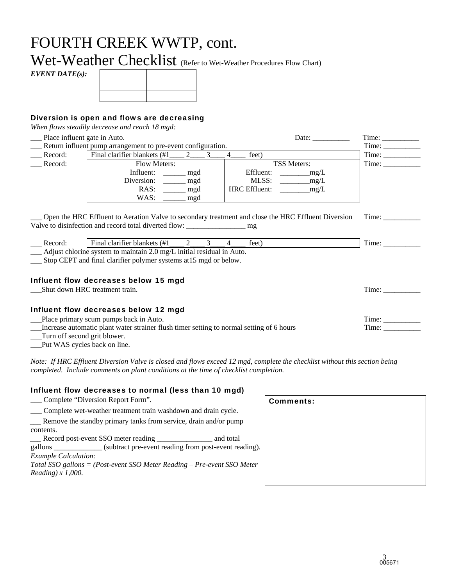## FOURTH CREEK WWTP, cont.

Wet-Weather Checklist (Refer to Wet-Weather Procedures Flow Chart)

*EVENT DATE(s):*

#### Diversion is open and flows are decreasing

*When flows steadily decrease and reach 18 mgd:* 

\_\_\_ Place influent gate in Auto. Date: \_\_\_\_\_\_\_\_\_\_Time: \_\_\_\_\_\_\_\_\_\_ \_\_\_ Return influent pump arrangement to pre-event configuration. Time: \_\_\_\_\_\_\_\_\_\_ Record: Final clarifier blankets  $(\#1 \_ 2 \_ 3 \_ 4 \_$  feet) Time: Time: Record: Flow Meters: TSS Meters: TSS Meters: Time: Influent: \_\_\_\_\_\_\_ mgd Effluent: \_\_\_\_\_\_\_\_\_\_mg/L Diversion: \_\_\_\_\_\_ mgd | MLSS: \_\_\_\_\_\_\_\_mg/L RAS: mgd HRC Effluent: \_\_\_\_\_\_\_\_ mg/L WAS: \_\_\_\_\_ mgd

\_\_\_ Open the HRC Effluent to Aeration Valve to secondary treatment and close the HRC Effluent Diversion Valve to disinfection and record total diverted flow: \_\_\_\_\_\_\_\_\_\_\_\_\_\_\_\_\_\_\_\_\_\_\_\_\_\_ mg Time: \_\_\_\_\_\_\_\_\_\_

| ำ∩rเ<br>_____ | ня                                                                                            |  | $\mathsf{L}\Omega$ |  |
|---------------|-----------------------------------------------------------------------------------------------|--|--------------------|--|
|               | A district althous a constant to maximate in<br>المدد المتحامية ممتحد المتعاملين المتحدد الما |  |                    |  |

\_\_\_ Adjust chlorine system to maintain 2.0 mg/L initial residual in Auto.

\_\_\_ Stop CEPT and final clarifier polymer systems at15 mgd or below.

#### Influent flow decreases below 15 mgd

\_\_\_Shut down HRC treatment train. Time: \_\_\_\_\_\_\_\_\_\_

#### Influent flow decreases below 12 mgd

\_\_\_Place primary scum pumps back in Auto. Time: \_\_\_\_\_\_\_\_\_\_

\_\_\_Increase automatic plant water strainer flush timer setting to normal setting of 6 hours Time: \_\_\_\_\_\_\_\_\_\_

\_\_\_Turn off second grit blower.

\_\_\_Put WAS cycles back on line.

*Note: If HRC Effluent Diversion Valve is closed and flows exceed 12 mgd, complete the checklist without this section being completed. Include comments on plant conditions at the time of checklist completion.*

#### Influent flow decreases to normal (less than 10 mgd) \_\_\_ Complete "Diversion Report Form". Comments:

| COMPLETE DIVERSION REPORT FORM.                                           | Comments: |
|---------------------------------------------------------------------------|-----------|
| Complete wet-weather treatment train washdown and drain cycle.            |           |
| __ Remove the standby primary tanks from service, drain and/or pump       |           |
| contents.                                                                 |           |
| Record post-event SSO meter reading<br>and total                          |           |
| (subtract pre-event reading from post-event reading).<br>gallons          |           |
| <b>Example Calculation:</b>                                               |           |
| Total SSO gallons = (Post-event SSO Meter Reading $-$ Pre-event SSO Meter |           |
| Reading) $x$ 1,000.                                                       |           |
|                                                                           |           |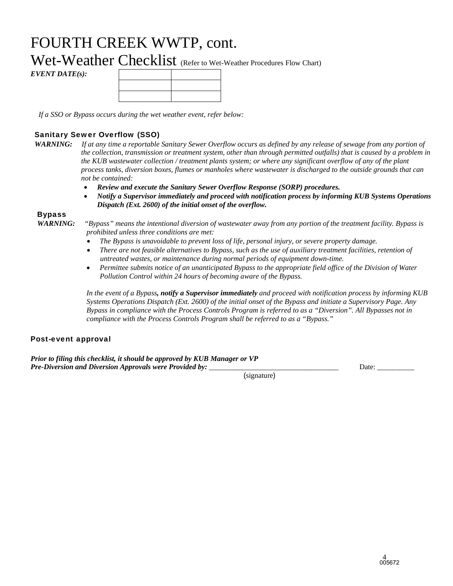## FOURTH CREEK WWTP, cont.

Wet-Weather Checklist (Refer to Wet-Weather Procedures Flow Chart)

*EVENT DATE(s):*

*If a SSO or Bypass occurs during the wet weather event, refer below:* 

#### Sanitary Sewer Overflow (SSO)

- *WARNING: If at any time a reportable Sanitary Sewer Overflow occurs as defined by any release of sewage from any portion of the collection, transmission or treatment system, other than through permitted outfalls) that is caused by a problem in the KUB wastewater collection / treatment plants system; or where any significant overflow of any of the plant process tanks, diversion boxes, flumes or manholes where wastewater is discharged to the outside grounds that can not be contained:* 
	- *Review and execute the Sanitary Sewer Overflow Response (SORP) procedures.*
	- *Notify a Supervisor immediately and proceed with notification process by informing KUB Systems Operations Dispatch (Ext. 2600) of the initial onset of the overflow.*

#### Bypass

*WARNING: "Bypass" means the intentional diversion of wastewater away from any portion of the treatment facility. Bypass is prohibited unless three conditions are met:* 

- *The Bypass is unavoidable to prevent loss of life, personal injury, or severe property damage.*
- *There are not feasible alternatives to Bypass, such as the use of auxiliary treatment facilities, retention of untreated wastes, or maintenance during normal periods of equipment down-time.*
- *Permittee submits notice of an unanticipated Bypass to the appropriate field office of the Division of Water Pollution Control within 24 hours of becoming aware of the Bypass.*

*In the event of a Bypass, notify a Supervisor immediately and proceed with notification process by informing KUB Systems Operations Dispatch (Ext. 2600) of the initial onset of the Bypass and initiate a Supervisory Page. Any Bypass in compliance with the Process Controls Program is referred to as a "Diversion". All Bypasses not in compliance with the Process Controls Program shall be referred to as a "Bypass."* 

#### Post-event approval

*Prior to filing this checklist, it should be approved by KUB Manager or VP Pre-Diversion and Diversion Approvals were Provided by:* 

Date:

(signature)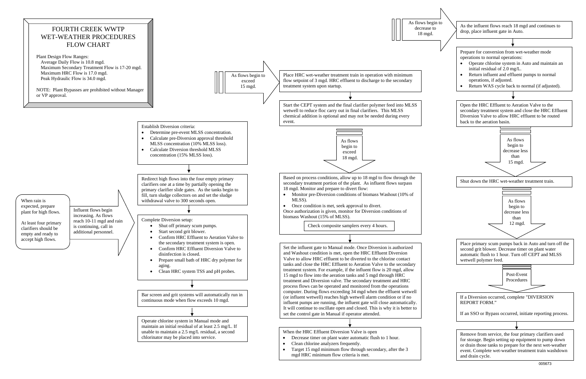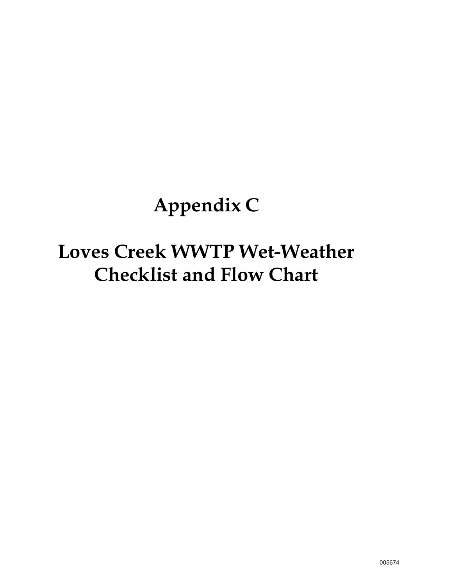# **Appendix C**

# **Loves Creek WWTP Wet-Weather Checklist and Flow Chart**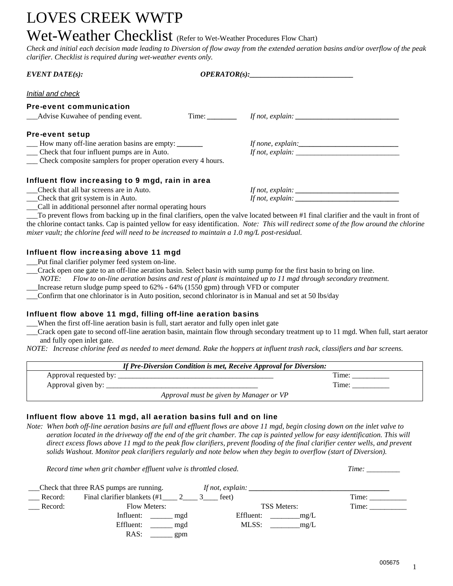## LOVES CREEK WWTP

### Wet-Weather Checklist (Refer to Wet-Weather Procedures Flow Chart)

*Check and initial each decision made leading to Diversion of flow away from the extended aeration basins and/or overflow of the peak clarifier. Checklist is required during wet-weather events only.* 

| $EVENT\,DATE(s):$                                            |  | OPERATOR(s):      |  |
|--------------------------------------------------------------|--|-------------------|--|
| Initial and check                                            |  |                   |  |
| <b>Pre-event communication</b>                               |  |                   |  |
| __Advise Kuwahee of pending event.                           |  |                   |  |
| <b>Pre-event setup</b>                                       |  |                   |  |
| - How many off-line aeration basins are empty:               |  | If none, explain: |  |
| __ Check that four influent pumps are in Auto.               |  |                   |  |
| Check composite samplers for proper operation every 4 hours. |  |                   |  |
| Influent flow increasing to 9 mgd, rain in area              |  |                   |  |
| Check that all bar screens are in Auto.                      |  |                   |  |
| __Check that grit system is in Auto.                         |  |                   |  |
| __Call in additional personnel after normal operating hours  |  |                   |  |

\_\_\_To prevent flows from backing up in the final clarifiers, open the valve located between #1 final clarifier and the vault in front of the chlorine contact tanks. Cap is painted yellow for easy identification. *Note: This will redirect some of the flow around the chlorine mixer vault; the chlorine feed will need to be increased to maintain a 1.0 mg/L post-residual.*

#### Influent flow increasing above 11 mgd

\_\_\_Put final clarifier polymer feed system on-line.

\_\_\_Crack open one gate to an off-line aeration basin. Select basin with sump pump for the first basin to bring on line.

*NOTE: Flow to on-line aeration basins and rest of plant is maintained up to 11 mgd through secondary treatment.* 

\_\_\_Increase return sludge pump speed to 62% - 64% (1550 gpm) through VFD or computer

\_\_\_Confirm that one chlorinator is in Auto position, second chlorinator is in Manual and set at 50 lbs/day

#### Influent flow above 11 mgd, filling off-line aeration basins

When the first off-line aeration basin is full, start aerator and fully open inlet gate

\_\_\_Crack open gate to second off-line aeration basin, maintain flow through secondary treatment up to 11 mgd. When full, start aerator and fully open inlet gate.

*NOTE: Increase chlorine feed as needed to meet demand. Rake the hoppers at influent trash rack, classifiers and bar screens.* 

| If Pre-Diversion Condition is met, Receive Approval for Diversion: |                                         |  |
|--------------------------------------------------------------------|-----------------------------------------|--|
|                                                                    | Time:                                   |  |
| Approval given by: $\overline{\phantom{a}}$                        | Time:                                   |  |
|                                                                    | Approval must be given by Manager or VP |  |

#### Influent flow above 11 mgd, all aeration basins full and on line

*Note: When both off-line aeration basins are full and effluent flows are above 11 mgd, begin closing down on the inlet valve to aeration located in the driveway off the end of the grit chamber. The cap is painted yellow for easy identification. This will direct excess flows above 11 mgd to the peak flow clarifiers, prevent flooding of the final clarifier center wells, and prevent solids Washout. Monitor peak clarifiers regularly and note below when they begin to overflow (start of Diversion).* 

*Record time when grit chamber effluent valve is throttled closed. Time:* \_\_\_\_\_\_\_\_\_

|         | __Check that three RAS pumps are running. | If not, explain:   |       |
|---------|-------------------------------------------|--------------------|-------|
| Record: | Final clarifier blankets $(\#1 \_ 2 \_ 3$ | feet)              | Time: |
| Record: | <b>Flow Meters:</b>                       | <b>TSS Meters:</b> | Time: |
|         | Influent:<br>mgd                          | Effluent:<br>mg/L  |       |
|         | Effluent:<br>mgd                          | MLSS:<br>mg/L      |       |
|         | RAS:<br>gpm                               |                    |       |

1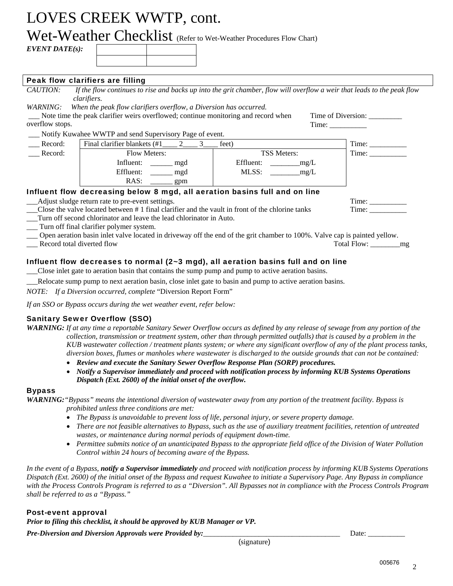## LOVES CREEK WWTP, cont.

## Wet-Weather Checklist (Refer to Wet-Weather Procedures Flow Chart)

*EVENT DATE(s):*

#### Peak flow clarifiers are filling

| CAUTION:                                                                                                                  | If the flow continues to rise and backs up into the grit chamber, flow will overflow a weir that leads to the peak flow |                    |                    |  |
|---------------------------------------------------------------------------------------------------------------------------|-------------------------------------------------------------------------------------------------------------------------|--------------------|--------------------|--|
|                                                                                                                           | <i>clarifiers.</i>                                                                                                      |                    |                    |  |
| <i>WARNING:</i>                                                                                                           | When the peak flow clarifiers overflow, a Diversion has occurred.                                                       |                    |                    |  |
|                                                                                                                           | Note time the peak clarifier weirs overflowed; continue monitoring and record when                                      |                    | Time of Diversion: |  |
| overflow stops.                                                                                                           |                                                                                                                         |                    | Time:              |  |
|                                                                                                                           | Notify Kuwahee WWTP and send Supervisory Page of event.                                                                 |                    |                    |  |
| Record:                                                                                                                   | Final clarifier blankets $(\#1 \qquad 2 \qquad 3$                                                                       | feet)              | Time:              |  |
| Record:                                                                                                                   | <b>Flow Meters:</b>                                                                                                     | <b>TSS Meters:</b> | Time:              |  |
|                                                                                                                           | Influent: <u>______</u> mgd                                                                                             | Effluent: $mg/L$   |                    |  |
|                                                                                                                           | Effluent: <u>______</u> mgd                                                                                             | $MLSS:$ $mg/L$     |                    |  |
|                                                                                                                           | RAS:<br>$\equiv$ gpm                                                                                                    |                    |                    |  |
| Influent flow decreasing below 8 mgd, all aeration basins full and on line                                                |                                                                                                                         |                    |                    |  |
|                                                                                                                           | Adjust sludge return rate to pre-event settings.                                                                        |                    |                    |  |
| Close the valve located between #1 final clarifier and the vault in front of the chlorine tanks                           |                                                                                                                         |                    | Time:              |  |
|                                                                                                                           | Turn off second chlorinator and leave the lead chlorinator in Auto.                                                     |                    |                    |  |
|                                                                                                                           | Turn off final clarifier polymer system.                                                                                |                    |                    |  |
| Open aeration basin inlet valve located in driveway off the end of the grit chamber to 100%. Valve cap is painted yellow. |                                                                                                                         |                    |                    |  |
| Record total diverted flow                                                                                                |                                                                                                                         |                    | Total Flow:<br>mg  |  |

#### Influent flow decreases to normal (2~3 mgd), all aeration basins full and on line

\_\_\_Close inlet gate to aeration basin that contains the sump pump and pump to active aeration basins.

\_\_\_Relocate sump pump to next aeration basin, close inlet gate to basin and pump to active aeration basins.

*NOTE: If a Diversion occurred, complete* "Diversion Report Form"

*If an SSO or Bypass occurs during the wet weather event, refer below:* 

#### Sanitary Sewer Overflow (SSO)

| <b>WARNING:</b> If at any time a reportable Sanitary Sewer Overflow occurs as defined by any release of sewage from any portion of the |  |
|----------------------------------------------------------------------------------------------------------------------------------------|--|
| collection, transmission or treatment system, other than through permitted outfalls) that is caused by a problem in the                |  |
| KUB wastewater collection / treatment plants system; or where any significant overflow of any of the plant process tanks,              |  |
| diversion boxes, flumes or manholes where wastewater is discharged to the outside grounds that can not be contained:                   |  |

- *Review and execute the Sanitary Sewer Overflow Response Plan (SORP) procedures.*
- *Notify a Supervisor immediately and proceed with notification process by informing KUB Systems Operations Dispatch (Ext. 2600) of the initial onset of the overflow.*

#### Bypass

*WARNING:"Bypass" means the intentional diversion of wastewater away from any portion of the treatment facility. Bypass is prohibited unless three conditions are met:* 

- *The Bypass is unavoidable to prevent loss of life, personal injury, or severe property damage.*
- *There are not feasible alternatives to Bypass, such as the use of auxiliary treatment facilities, retention of untreated wastes, or maintenance during normal periods of equipment down-time.*
- *Permittee submits notice of an unanticipated Bypass to the appropriate field office of the Division of Water Pollution Control within 24 hours of becoming aware of the Bypass.*

*In the event of a Bypass, notify a Supervisor immediately and proceed with notification process by informing KUB Systems Operations Dispatch (Ext. 2600) of the initial onset of the Bypass and request Kuwahee to initiate a Supervisory Page. Any Bypass in compliance with the Process Controls Program is referred to as a "Diversion". All Bypasses not in compliance with the Process Controls Program shall be referred to as a "Bypass."* 

#### Post-event approval

*Prior to filing this checklist, it should be approved by KUB Manager or VP.* 

*Pre-Diversion and Diversion Approvals were Provided by:* 

(signature)

Date: